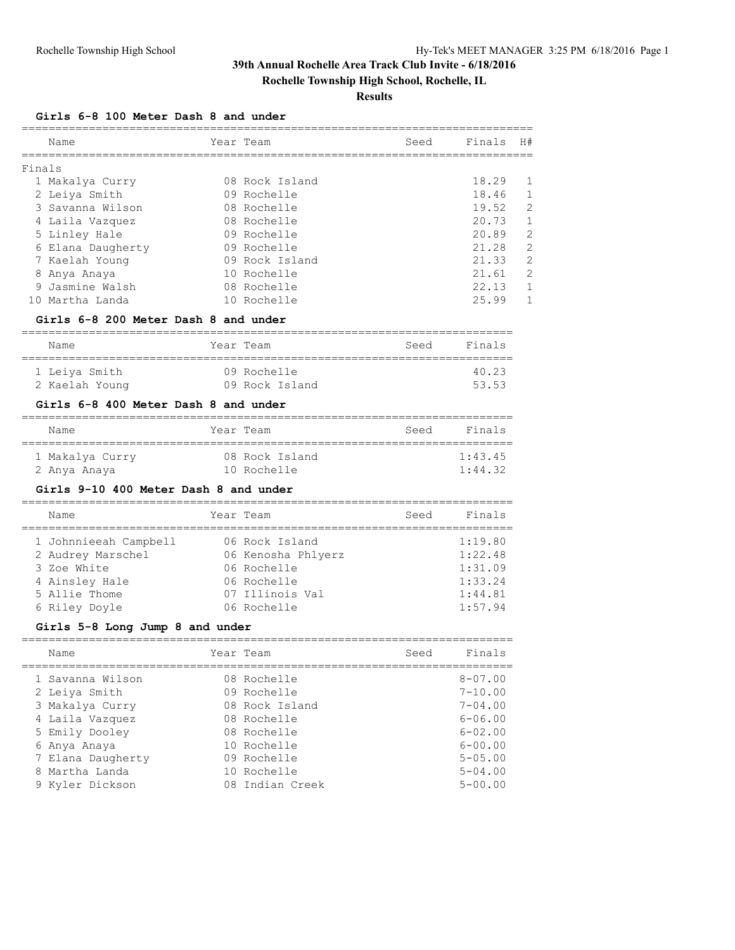**Rochelle Township High School, Rochelle, IL**

### **Results**

#### **Girls 6-8 100 Meter Dash 8 and under**

|        | Name              | Year Team      | Seed | Finals | H#             |
|--------|-------------------|----------------|------|--------|----------------|
| Finals |                   |                |      |        |                |
|        | 1 Makalya Curry   | 08 Rock Island |      | 18.29  |                |
|        | 2 Leiya Smith     | 09 Rochelle    |      | 18.46  | -1             |
|        | 3 Savanna Wilson  | 08 Rochelle    |      | 19.52  | 2              |
|        | 4 Laila Vazquez   | 08 Rochelle    |      | 20.73  |                |
|        | 5 Linley Hale     | 09 Rochelle    |      | 20.89  | 2              |
|        | 6 Elana Daugherty | 09 Rochelle    |      | 21.28  | $\overline{2}$ |
|        | 7 Kaelah Young    | 09 Rock Island |      | 21.33  | 2              |
| 8      | Anya Anaya        | 10 Rochelle    |      | 21.61  | 2              |
|        | 9 Jasmine Walsh   | 08 Rochelle    |      | 22.13  |                |
|        | Martha Landa      | 10 Rochelle    |      | 25.99  |                |

#### **Girls 6-8 200 Meter Dash 8 and under**

| Name           | Year Team      | Seed | Finals |
|----------------|----------------|------|--------|
| 1 Leiva Smith  | 09 Rochelle    |      | 40.23  |
| 2 Kaelah Young | 09 Rock Island |      | 53.53  |

### **Girls 6-8 400 Meter Dash 8 and under**

| Name            | Year Team |                | Seed | Finals  |
|-----------------|-----------|----------------|------|---------|
| 1 Makalya Curry |           | 08 Rock Island |      | 1:43.45 |
| 2 Anya Anaya    |           | 10 Rochelle    |      | 1:44.32 |

### **Girls 9-10 400 Meter Dash 8 and under**

| Name                  | Year Team          | Seed | Finals  |
|-----------------------|--------------------|------|---------|
| 1 Johnnieeah Campbell | 06 Rock Island     |      | 1:19.80 |
| 2 Audrey Marschel     | 06 Kenosha Phlyerz |      | 1:22.48 |
| 3 Zoe White           | 06 Rochelle        |      | 1:31.09 |
| 4 Ainsley Hale        | 06 Rochelle        |      | 1:33.24 |
| 5 Allie Thome         | 07 Illinois Val    |      | 1:44.81 |
| 6 Riley Doyle         | 06 Rochelle        |      | 1:57.94 |

### **Girls 5-8 Long Jump 8 and under**

| Finals         |
|----------------|
|                |
| $8 - 07.00$    |
| $7 - 10.00$    |
| $7 - 04.00$    |
| $6 - 06.00$    |
| $6 - 02.00$    |
| $6 - 00.00$    |
| $5 - 0.5$ , 00 |
| $5 - 04.00$    |
| $5 - 00.00$    |
|                |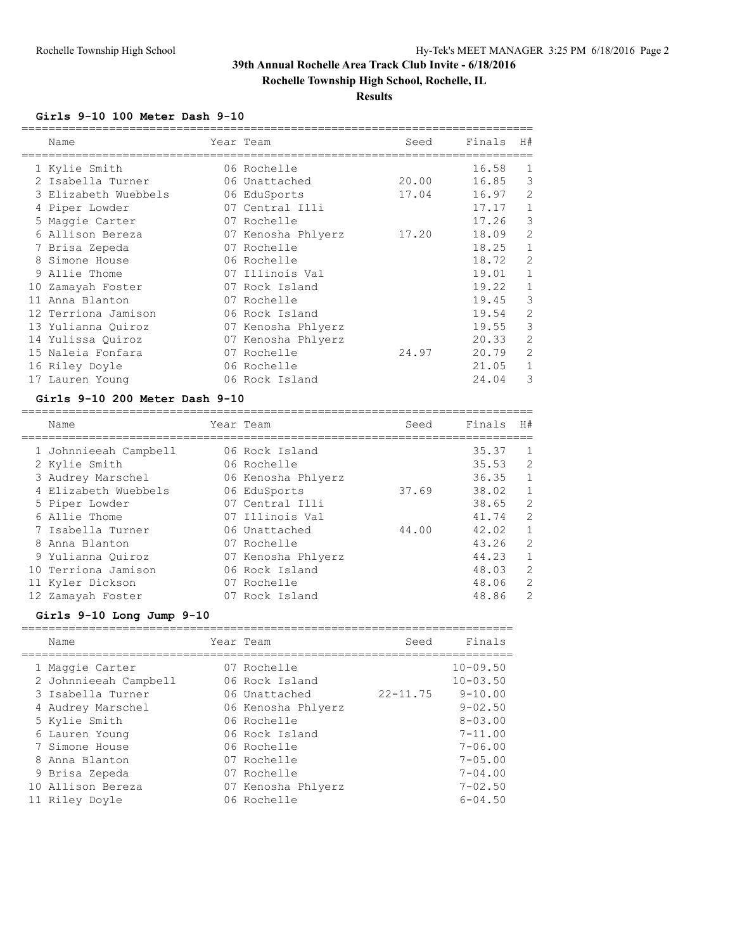**Rochelle Township High School, Rochelle, IL**

### **Results**

#### **Girls 9-10 100 Meter Dash 9-10**

|    | Name                 | Year Team          | Seed  | Finals | H#             |
|----|----------------------|--------------------|-------|--------|----------------|
|    | 1 Kylie Smith        | 06 Rochelle        |       | 16.58  | 1              |
|    | 2 Isabella Turner    | 06 Unattached      | 20.00 | 16.85  | 3              |
|    | 3 Elizabeth Wuebbels | 06 EduSports       | 17.04 | 16.97  | 2              |
|    | 4 Piper Lowder       | 07 Central Illi    |       | 17.17  | $\mathbf{1}$   |
|    | 5 Maggie Carter      | 07 Rochelle        |       | 17.26  | 3              |
|    | 6 Allison Bereza     | 07 Kenosha Phlyerz | 17.20 | 18.09  | 2              |
|    | 7 Brisa Zepeda       | 07 Rochelle        |       | 18.25  | $\mathbf{1}$   |
| 8  | Simone House         | 06 Rochelle        |       | 18.72  | $\overline{2}$ |
|    | 9 Allie Thome        | 07 Illinois Val    |       | 19.01  | 1              |
| 10 | Zamayah Foster       | 07 Rock Island     |       | 19.22  | $\mathbf{1}$   |
| 11 | Anna Blanton         | 07 Rochelle        |       | 19.45  | 3              |
|    | 12 Terriona Jamison  | 06 Rock Island     |       | 19.54  | 2              |
|    | 13 Yulianna Quiroz   | 07 Kenosha Phlyerz |       | 19.55  | 3              |
|    | 14 Yulissa Quiroz    | 07 Kenosha Phlyerz |       | 20.33  | 2              |
|    | 15 Naleia Fonfara    | 07 Rochelle        | 24.97 | 20.79  | 2              |
|    | 16 Riley Doyle       | 06 Rochelle        |       | 21.05  | 1              |
|    | 17 Lauren Young      | 06 Rock Island     |       | 24.04  | 3              |

#### **Girls 9-10 200 Meter Dash 9-10**

| Name                  | Year Team          | Seed  | Finals | H#           |
|-----------------------|--------------------|-------|--------|--------------|
| 1 Johnnieeah Campbell | 06 Rock Island     |       | 35.37  | -1           |
| 2 Kylie Smith         | 06 Rochelle        |       | 35.53  | 2            |
| 3 Audrey Marschel     | 06 Kenosha Phlyerz |       | 36.35  | 1            |
| 4 Elizabeth Wuebbels  | 06 EduSports       | 37.69 | 38.02  | $\mathbf{1}$ |
| 5 Piper Lowder        | 07 Central Illi    |       | 38.65  | 2            |
| 6 Allie Thome         | 07 Illinois Val    |       | 41.74  | 2            |
| 7 Isabella Turner     | 06 Unattached      | 44.00 | 42.02  | 1            |
| 8 Anna Blanton        | 07 Rochelle        |       | 43.26  | 2            |
| 9 Yulianna Ouiroz     | 07 Kenosha Phlyerz |       | 44.23  | $\mathbf{1}$ |
| 10 Terriona Jamison   | 06 Rock Island     |       | 48.03  | 2            |
| 11 Kyler Dickson      | 07 Rochelle        |       | 48.06  | 2            |
| 12 Zamayah Foster     | 07 Rock Island     |       | 48.86  | 2            |

### **Girls 9-10 Long Jump 9-10**

|    | Name                  | Year Team          | Seed         | Finals         |
|----|-----------------------|--------------------|--------------|----------------|
|    | 1 Maggie Carter       | 07 Rochelle        |              | $10 - 09.50$   |
|    | 2 Johnnieeah Campbell | 06 Rock Island     |              | $10 - 03.50$   |
|    | 3 Isabella Turner     | 06 Unattached      | $22 - 11.75$ | $9 - 10.00$    |
|    | 4 Audrey Marschel     | 06 Kenosha Phlyerz |              | $9 - 02.50$    |
|    | 5 Kylie Smith         | 06 Rochelle        |              | $8 - 0.3$ , 00 |
|    | 6 Lauren Young        | 06 Rock Island     |              | $7 - 11.00$    |
|    | 7 Simone House        | 06 Rochelle        |              | $7 - 06.00$    |
| 8. | Anna Blanton          | 07 Rochelle        |              | $7 - 0.5$ , 00 |
|    | 9 Brisa Zepeda        | 07 Rochelle        |              | $7 - 04.00$    |
|    | 10 Allison Bereza     | 07 Kenosha Phlyerz |              | $7 - 02.50$    |
|    | 11 Riley Doyle        | 06 Rochelle        |              | $6 - 04.50$    |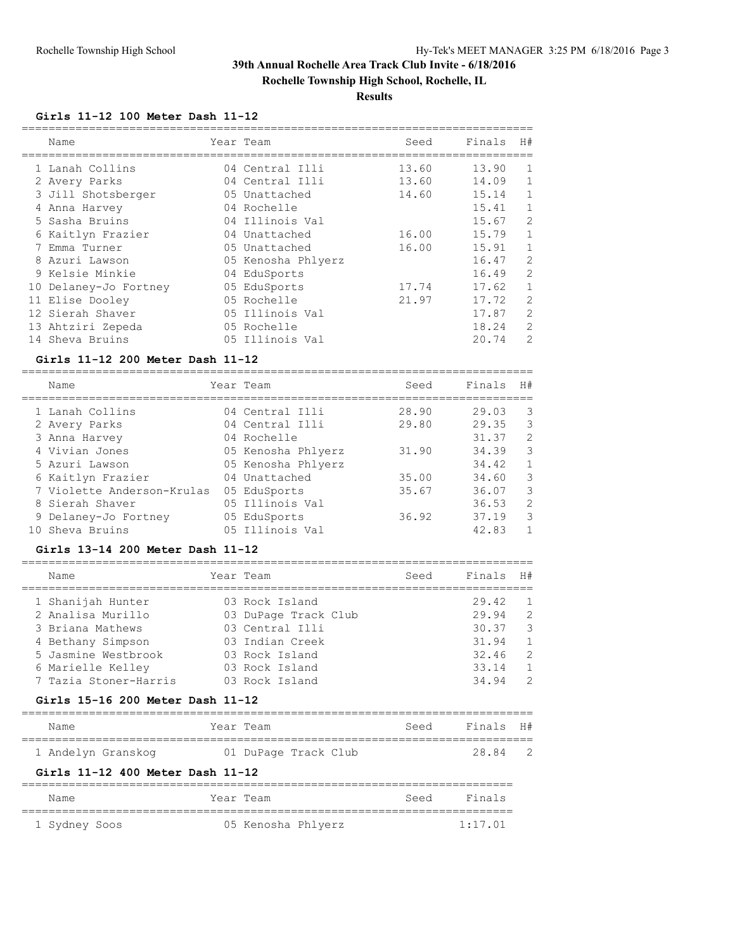**Rochelle Township High School, Rochelle, IL**

### **Results**

### **Girls 11-12 100 Meter Dash 11-12**

| Name                  | Year Team          | Seed  | Finals | H#           |
|-----------------------|--------------------|-------|--------|--------------|
| 1 Lanah Collins       | 04 Central Illi    | 13.60 | 13.90  | 1            |
| 2 Avery Parks         | 04 Central Illi    | 13.60 | 14.09  | 1            |
| 3 Jill Shotsberger    | 05 Unattached      | 14.60 | 15.14  | $\mathbf 1$  |
| 4 Anna Harvey         | 04 Rochelle        |       | 15.41  | $\mathbf{1}$ |
| 5 Sasha Bruins        | 04 Illinois Val    |       | 15.67  | 2            |
| 6 Kaitlyn Frazier     | 04 Unattached      | 16.00 | 15.79  | $\mathbf{1}$ |
| 7 Emma Turner         | 05 Unattached      | 16.00 | 15.91  | 1            |
| 8 Azuri Lawson        | 05 Kenosha Phlyerz |       | 16.47  | 2            |
| 9 Kelsie Minkie       | 04 EduSports       |       | 16.49  | 2            |
| 10 Delaney-Jo Fortney | 05 EduSports       | 17.74 | 17.62  | $\mathbf{1}$ |
| 11 Elise Dooley       | 05 Rochelle        | 21.97 | 17.72  | 2            |
| 12 Sierah Shaver      | 05 Illinois Val    |       | 17.87  | 2            |
| 13 Ahtziri Zepeda     | 05 Rochelle        |       | 18.24  | 2            |
| 14 Sheva Bruins       | 05 Illinois Val    |       | 20.74  | 2            |

#### **Girls 11-12 200 Meter Dash 11-12**

============================================================================

| Name                       | Year Team          | Seed  | Finals | H#           |
|----------------------------|--------------------|-------|--------|--------------|
| 1 Lanah Collins            | 04 Central Illi    | 28.90 | 29.03  | 3            |
| 2 Avery Parks              | 04 Central Illi    | 29.80 | 29.35  | 3            |
| 3 Anna Harvey              | 04 Rochelle        |       | 31.37  | 2            |
| 4 Vivian Jones             | 05 Kenosha Phlyerz | 31.90 | 34.39  | 3            |
| 5 Azuri Lawson             | 05 Kenosha Phlyerz |       | 34.42  | $\mathbf{1}$ |
| 6 Kaitlyn Frazier          | 04 Unattached      | 35.00 | 34.60  | 3            |
| 7 Violette Anderson-Krulas | 05 EduSports       | 35.67 | 36.07  | 3            |
| 8 Sierah Shaver            | 05 Illinois Val    |       | 36.53  | 2            |
| 9 Delaney-Jo Fortney       | 05 EduSports       | 36.92 | 37.19  | 3            |
| 10 Sheva Bruins            | 05 Illinois Val    |       | 42.83  | 1            |

#### **Girls 13-14 200 Meter Dash 11-12**

| Name                  | Year Team            | Seed | Finals | H#             |
|-----------------------|----------------------|------|--------|----------------|
| 1 Shanijah Hunter     | 03 Rock Island       |      | 29.42  | $\overline{1}$ |
| 2 Analisa Murillo     | 03 DuPage Track Club |      | 29.94  | $\overline{2}$ |
| 3 Briana Mathews      | 03 Central Illi      |      | 30.37  | - 3            |
| 4 Bethany Simpson     | 03 Indian Creek      |      | 31.94  | 1              |
| 5 Jasmine Westbrook   | 03 Rock Island       |      | 32.46  | -2             |
| 6 Marielle Kelley     | 03 Rock Island       |      | 33.14  | $\overline{1}$ |
| 7 Tazia Stoner-Harris | 03 Rock Island       |      | 34.94  | 2              |
|                       |                      |      |        |                |

#### **Girls 15-16 200 Meter Dash 11-12**

| Name                             | Year Team            | Seed | Finals H# |                |
|----------------------------------|----------------------|------|-----------|----------------|
| 1 Andelyn Granskog               | 01 DuPage Track Club |      | 28.84     | $\overline{2}$ |
| Girls 11-12 400 Meter Dash 11-12 |                      |      |           |                |

| Name          |  | Year Team          | Seed | Finals  |
|---------------|--|--------------------|------|---------|
| 1 Sydney Soos |  | 05 Kenosha Phlyerz |      | 1:17.01 |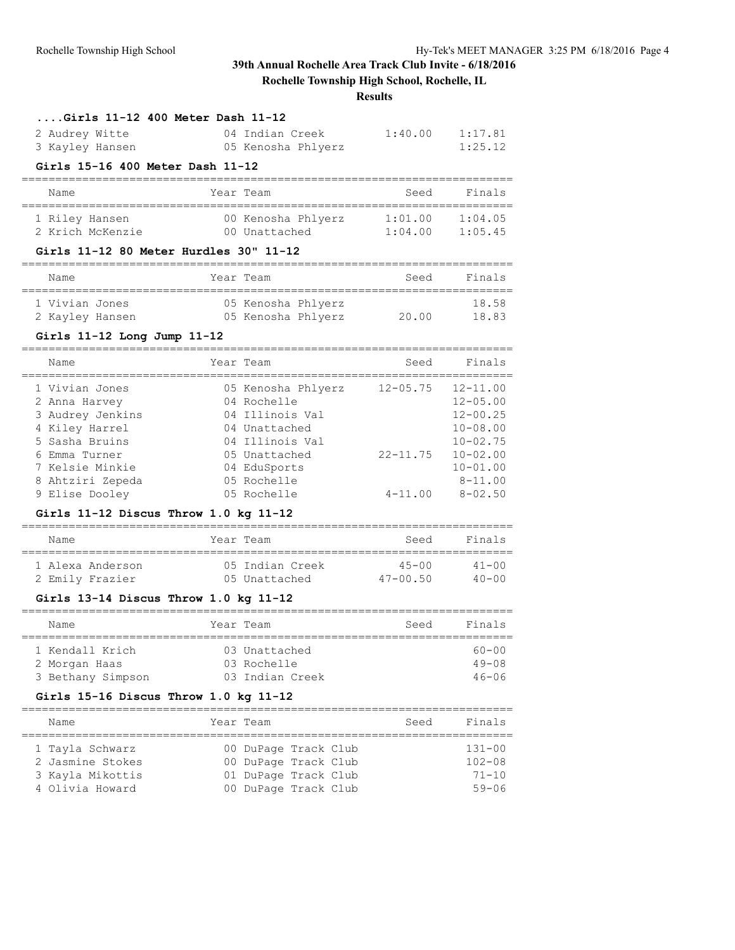### **Rochelle Township High School, Rochelle, IL**

**Results**

### **....Girls 11-12 400 Meter Dash 11-12**

| 2 Audrey Witte  | 04 Indian Creek    | 1:40.00 | 1:17.81 |
|-----------------|--------------------|---------|---------|
| 3 Kayley Hansen | 05 Kenosha Phlyerz |         | 1:25.12 |

#### **Girls 15-16 400 Meter Dash 11-12**

| Name             | Year Team          | Seed    | Finals  |
|------------------|--------------------|---------|---------|
| 1 Riley Hansen   | 00 Kenosha Phlyerz | 1:01.00 | 1:04.05 |
| 2 Krich McKenzie | 00 Unattached      | 1:04.00 | 1:05.45 |

#### **Girls 11-12 80 Meter Hurdles 30" 11-12**

| Name            | Year Team          | Seed  | Finals |
|-----------------|--------------------|-------|--------|
|                 |                    |       |        |
| 1 Vivian Jones  | 05 Kenosha Phlyerz |       | 18.58  |
| 2 Kayley Hansen | 05 Kenosha Phlyerz | 20.00 | 18.83  |

### **Girls 11-12 Long Jump 11-12**

| Name                                                                                                                                                              | Year Team                                                                                                                                               | Seed                                        | Finals                                                                                                                                     |
|-------------------------------------------------------------------------------------------------------------------------------------------------------------------|---------------------------------------------------------------------------------------------------------------------------------------------------------|---------------------------------------------|--------------------------------------------------------------------------------------------------------------------------------------------|
| 1 Vivian Jones<br>2 Anna Harvey<br>3 Audrey Jenkins<br>4 Kiley Harrel<br>5 Sasha Bruins<br>6 Emma Turner<br>7 Kelsie Minkie<br>8 Ahtziri Zepeda<br>9 Elise Dooley | 05 Kenosha Phlyerz<br>04 Rochelle<br>04 Illinois Val<br>04 Unattached<br>04 Illinois Val<br>05 Unattached<br>04 EduSports<br>05 Rochelle<br>05 Rochelle | $12 - 05.75$<br>$22 - 11.75$<br>$4 - 11.00$ | $12 - 11.00$<br>$12 - 05.00$<br>$12 - 00.25$<br>$10 - 08.00$<br>$10 - 02.75$<br>$10 - 02.00$<br>$10 - 01.00$<br>$8 - 11.00$<br>$8 - 02.50$ |
|                                                                                                                                                                   |                                                                                                                                                         |                                             |                                                                                                                                            |

### **Girls 11-12 Discus Throw 1.0 kg 11-12**

| Name             | Year Team       | Seed         | Finals    |
|------------------|-----------------|--------------|-----------|
| 1 Alexa Anderson | 05 Indian Creek | $45 - 00$    | $41 - 00$ |
| 2 Emily Frazier  | 05 Unattached   | $47 - 00.50$ | $40 - 00$ |

#### **Girls 13-14 Discus Throw 1.0 kg 11-12**

| Name                                                  | Year Team                                       | Seed | Finals                              |
|-------------------------------------------------------|-------------------------------------------------|------|-------------------------------------|
| 1 Kendall Krich<br>2 Morgan Haas<br>3 Bethany Simpson | 03 Unattached<br>03 Rochelle<br>03 Indian Creek |      | $60 - 00$<br>$49 - 08$<br>$46 - 06$ |

#### **Girls 15-16 Discus Throw 1.0 kg 11-12**

| Name             | Year Team |                      | Finals<br>Seed |
|------------------|-----------|----------------------|----------------|
|                  |           |                      |                |
| 1 Tayla Schwarz  |           | 00 DuPage Track Club | $131 - 00$     |
| 2 Jasmine Stokes |           | 00 DuPage Track Club | $102 - 08$     |
| 3 Kayla Mikottis |           | 01 DuPage Track Club | $71 - 10$      |
| 4 Olivia Howard  |           | 00 DuPage Track Club | $59 - 06$      |
|                  |           |                      |                |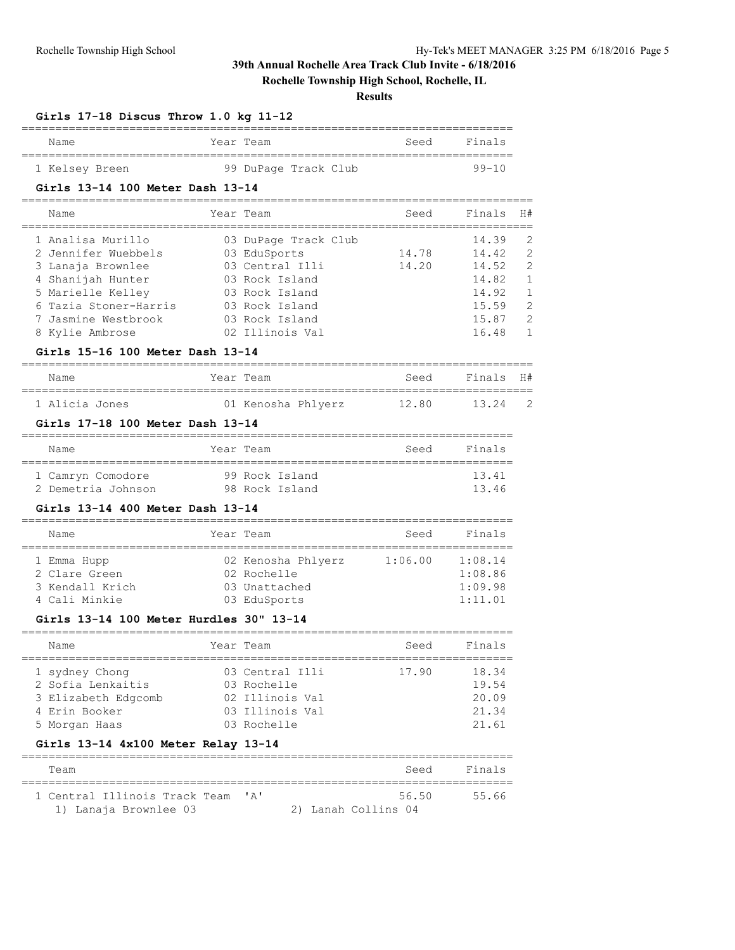### **Rochelle Township High School, Rochelle, IL**

### **Results**

| Name                                         | Year Team               | Seed                 | Finals    |                |
|----------------------------------------------|-------------------------|----------------------|-----------|----------------|
| =================<br>1 Kelsey Breen          | 99 DuPage Track Club    |                      | $99 - 10$ |                |
| Girls 13-14 100 Meter Dash 13-14             |                         |                      |           |                |
| Name                                         | Year Team               | Seed                 | Finals    | H#             |
| _______________________<br>1 Analisa Murillo | 03 DuPage Track Club    |                      | 14.39     | 2              |
| 2 Jennifer Wuebbels                          | 03 EduSports            | 14.78                | 14.42     | $\overline{2}$ |
| 3 Lanaja Brownlee                            | 03 Central Illi         | 14.20                | 14.52     | 2              |
| 4 Shanijah Hunter                            | 03 Rock Island          |                      | 14.82     | $\mathbf{1}$   |
| 5 Marielle Kelley                            | 03 Rock Island          |                      | 14.92     | $\mathbf{1}$   |
| 6 Tazia Stoner-Harris                        | 03 Rock Island          |                      | 15.59     | $\overline{c}$ |
| 7 Jasmine Westbrook                          | 03 Rock Island          |                      | 15.87     | $\overline{2}$ |
| 8 Kylie Ambrose                              | 02 Illinois Val         |                      | 16.48     | 1              |
| Girls 15-16 100 Meter Dash 13-14             |                         |                      |           |                |
| Name                                         | Year Team               | Seed                 | Finals    | H#             |
| 1 Alicia Jones                               | 01 Kenosha Phlyerz      | 12.80                | 13.24     | 2              |
| Girls 17-18 100 Meter Dash 13-14             |                         | ------------------   |           |                |
| Name                                         | Year Team               | Seed                 | Finals    |                |
| 1 Camryn Comodore                            | 99 Rock Island          |                      | 13.41     |                |
| 2 Demetria Johnson                           | 98 Rock Island          |                      | 13.46     |                |
| Girls 13-14 400 Meter Dash 13-14             |                         | ____________________ |           |                |
| Name                                         | Year Team               | Seed                 | Finals    |                |
| 1 Emma Hupp                                  | 02 Kenosha Phlyerz      | 1:06.00              | 1:08.14   |                |
| 2 Clare Green                                | 02 Rochelle             |                      | 1:08.86   |                |
| 3 Kendall Krich                              | 03 Unattached           |                      | 1:09.98   |                |
| 4 Cali Minkie                                | 03 EduSports            |                      | 1:11.01   |                |
| Girls 13-14 100 Meter Hurdles 30" 13-14      |                         |                      |           |                |
| Name                                         | Year Team               | Seed                 | Finals    |                |
| 1 sydney Chong                               | 03 Central Illi         | 17.90                | 18.34     |                |
| 2 Sofia Lenkaitis                            | 03 Rochelle             |                      | 19.54     |                |
| 3 Elizabeth Edgcomb                          | 02 Illinois Val         |                      | 20.09     |                |
| 4 Erin Booker                                | 03 Illinois Val         |                      | 21.34     |                |
| 5 Morgan Haas                                | 03 Rochelle             |                      | 21.61     |                |
| Girls 13-14 4x100 Meter Relay 13-14          | ======================= |                      |           |                |
| Team                                         |                         | Seed                 | Finals    |                |
| 1 Central Illinois Track Team                | 'A'                     | 56.50                | 55.66     |                |

1) Lanaja Brownlee 03 2) Lanah Collins 04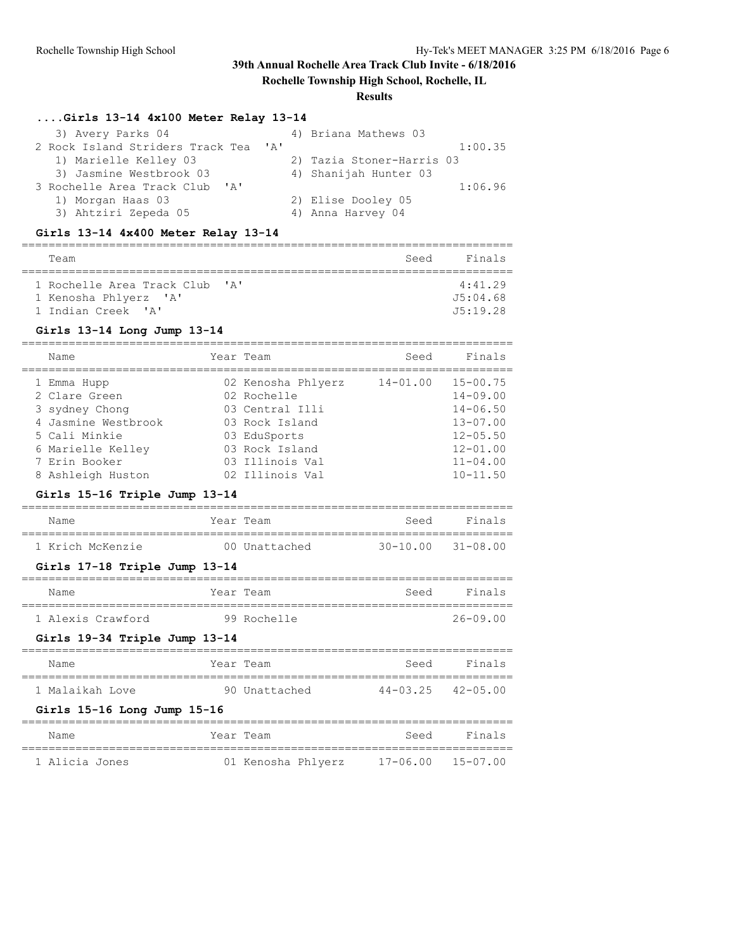### **Rochelle Township High School, Rochelle, IL**

### **Results**

### **....Girls 13-14 4x100 Meter Relay 13-14**

| 3) Avery Parks 04                    | 4) Briana Mathews 03      |
|--------------------------------------|---------------------------|
| 2 Rock Island Striders Track Tea 'A' | 1:00.35                   |
| 1) Marielle Kelley 03                | 2) Tazia Stoner-Harris 03 |
| 3) Jasmine Westbrook 03              | 4) Shanijah Hunter 03     |
| 3 Rochelle Area Track Club 'A'       | 1:06.96                   |
| 1) Morgan Haas 03                    | 2) Elise Dooley 05        |
| 3) Ahtziri Zepeda 05                 | 4) Anna Harvey 04         |

### **Girls 13-14 4x400 Meter Relay 13-14**

| Team                                                                      |              | Seed | Finals                          |
|---------------------------------------------------------------------------|--------------|------|---------------------------------|
| 1 Rochelle Area Track Club<br>1 Kenosha Phlyerz 'A'<br>1 Indian Creek 'A' | $\mathbf{A}$ |      | 4:41.29<br>J5:04.68<br>J5:19.28 |

#### **Girls 13-14 Long Jump 13-14**

| Name                | Year Team          | Seed         | Finals       |
|---------------------|--------------------|--------------|--------------|
| 1 Emma Hupp         | 02 Kenosha Phlyerz | $14 - 01.00$ | $15 - 00.75$ |
| 2 Clare Green       | 02 Rochelle        |              | $14 - 09.00$ |
| 3 sydney Chong      | 03 Central Illi    |              | $14 - 06.50$ |
| 4 Jasmine Westbrook | 03 Rock Island     |              | $13 - 07.00$ |
| 5 Cali Minkie       | 03 EduSports       |              | $12 - 05.50$ |
| 6 Marielle Kelley   | 03 Rock Island     |              | $12 - 01.00$ |
| 7 Erin Booker       | 03 Illinois Val    |              | $11 - 04.00$ |
| 8 Ashleigh Huston   | 02 Illinois Val    |              | $10 - 11.50$ |

### **Girls 15-16 Triple Jump 13-14**

| Name             | Year Team |               | Seed                      | Finals |
|------------------|-----------|---------------|---------------------------|--------|
| 1 Krich McKenzie |           | 00 Unattached | $30 - 10.00$ $31 - 08.00$ |        |

### **Girls 17-18 Triple Jump 13-14**

| Name |                   | Year Team |             | Seed | Finals       |
|------|-------------------|-----------|-------------|------|--------------|
|      |                   |           |             |      |              |
|      | 1 Alexis Crawford |           | 99 Rochelle |      | $26 - 09.00$ |

### **Girls 19-34 Triple Jump 13-14**

| Name                            | Year Team                                    | Seed | Finals                    |
|---------------------------------|----------------------------------------------|------|---------------------------|
| 1 Malaikah Love                 | 90 Unattached                                |      | $44 - 03.25$ $42 - 05.00$ |
| Girls $15-16$ Long Jump $15-16$ |                                              |      |                           |
| $N \sim m \sim$                 | $V \wedge \wedge \wedge$ $m \wedge \wedge m$ |      | $C \cap C$                |

| Name           |  | Year Team |                    | Seed              | Finals |
|----------------|--|-----------|--------------------|-------------------|--------|
| 1 Alicia Jones |  |           | 01 Kenosha Phlyerz | 17-06.00 15-07.00 |        |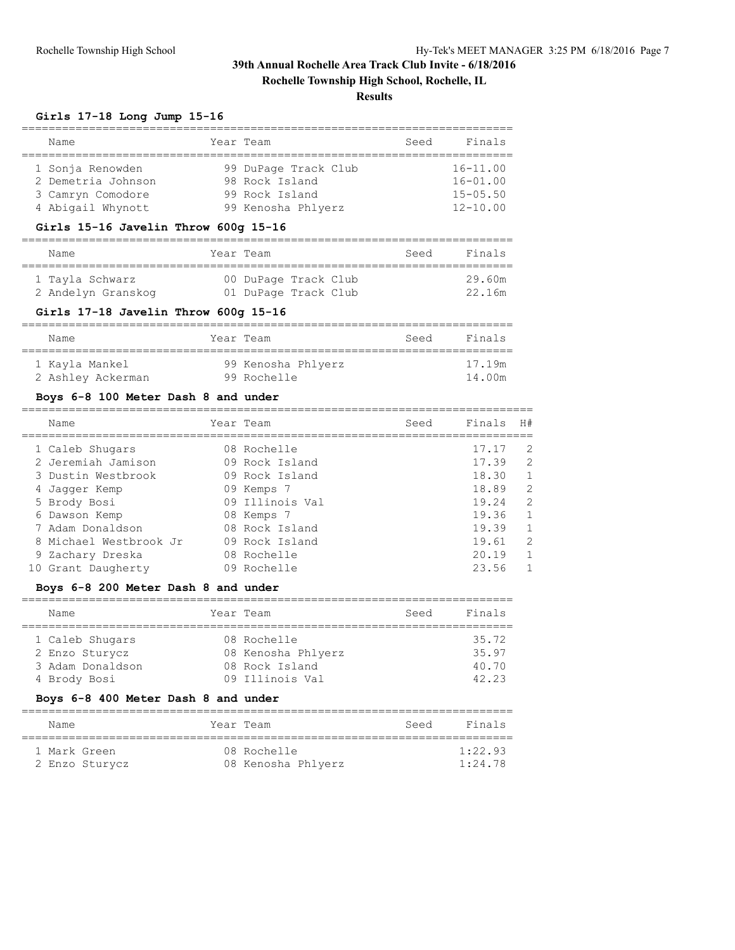**Rochelle Township High School, Rochelle, IL**

### **Results**

#### **Girls 17-18 Long Jump 15-16**

| Name               | Year Team            | Seed | Finals       |
|--------------------|----------------------|------|--------------|
|                    |                      |      |              |
| 1 Sonja Renowden   | 99 DuPage Track Club |      | $16 - 11.00$ |
| 2 Demetria Johnson | 98 Rock Island       |      | $16 - 01.00$ |
| 3 Camryn Comodore  | 99 Rock Island       |      | $15 - 05.50$ |
| 4 Abigail Whynott  | 99 Kenosha Phlyerz   |      | $12 - 10.00$ |

#### **Girls 15-16 Javelin Throw 600g 15-16**

| Name               | Year Team            | Seed | Finals |
|--------------------|----------------------|------|--------|
| 1 Tayla Schwarz    | 00 DuPage Track Club |      | 29.60m |
| 2 Andelyn Granskog | 01 DuPage Track Club |      | 22.16m |

#### **Girls 17-18 Javelin Throw 600g 15-16**

| Name              | Year Team          | Seed | Finals |
|-------------------|--------------------|------|--------|
| 1 Kayla Mankel    | 99 Kenosha Phlyerz |      | 17.19m |
| 2 Ashley Ackerman | 99 Rochelle        |      | 14.00m |

### **Boys 6-8 100 Meter Dash 8 and under**

| Name                   | Year Team       | Seed | Finals | H#             |
|------------------------|-----------------|------|--------|----------------|
| 1 Caleb Shugars        | 08 Rochelle     |      | 17.17  | $\mathcal{L}$  |
| 2 Jeremiah Jamison     | 09 Rock Island  |      | 17.39  | 2              |
| 3 Dustin Westbrook     | 09 Rock Island  |      | 18.30  | $\mathbf{1}$   |
| 4 Jaqqer Kemp          | 09 Kemps 7      |      | 18.89  | 2              |
| 5 Brody Bosi           | 09 Illinois Val |      | 19.24  | 2              |
| 6 Dawson Kemp          | 08 Kemps 7      |      | 19.36  | $\overline{1}$ |
| 7 Adam Donaldson       | 08 Rock Island  |      | 19.39  | $\mathbf{1}$   |
| 8 Michael Westbrook Jr | 09 Rock Island  |      | 19.61  | 2              |
| 9 Zachary Dreska       | 08 Rochelle     |      | 20.19  | $\mathbf{1}$   |
| 10 Grant Daugherty     | 09 Rochelle     |      | 23.56  |                |

### **Boys 6-8 200 Meter Dash 8 and under**

| Name                                                  | Year Team                                           | Seed | Finals                  |
|-------------------------------------------------------|-----------------------------------------------------|------|-------------------------|
| 1 Caleb Shugars<br>2 Enzo Sturycz<br>3 Adam Donaldson | 08 Rochelle<br>08 Kenosha Phlyerz<br>08 Rock Island |      | 35.72<br>35.97<br>40.70 |
| 4 Brody Bosi                                          | 09 Illinois Val                                     |      | 42.23                   |

#### **Boys 6-8 400 Meter Dash 8 and under**

| Name         |                | Year Team                         | Seed | Finals             |
|--------------|----------------|-----------------------------------|------|--------------------|
| 1 Mark Green | 2 Enzo Sturycz | 08 Rochelle<br>08 Kenosha Phlyerz |      | 1:22.93<br>1:24.78 |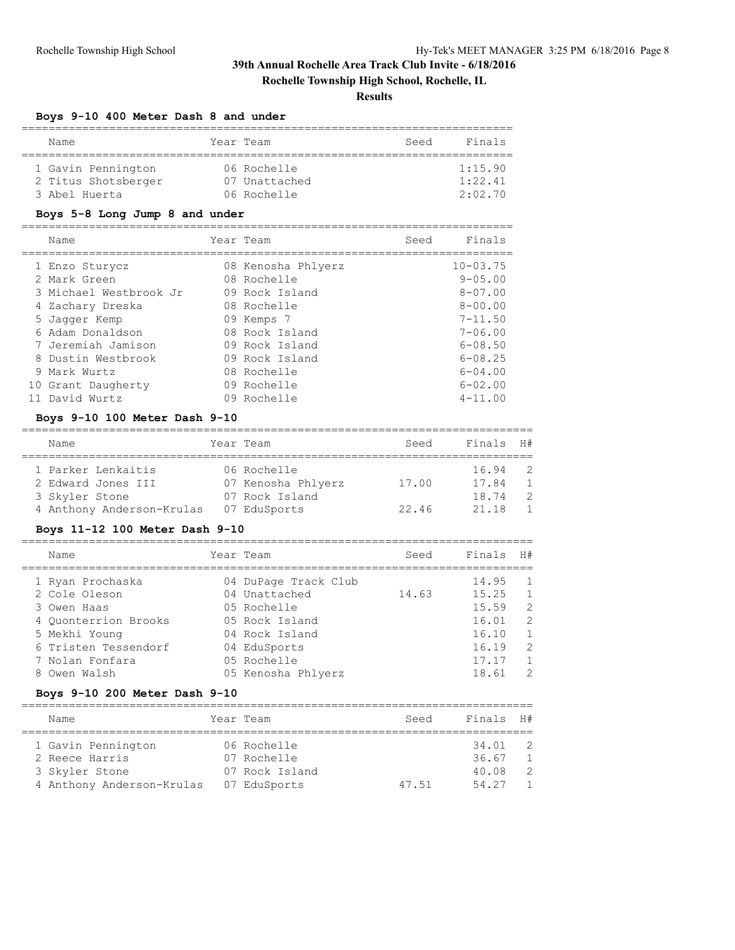**Rochelle Township High School, Rochelle, IL**

### **Results**

#### **Boys 9-10 400 Meter Dash 8 and under**

| Name                | Year Team |               | Seed | Finals  |
|---------------------|-----------|---------------|------|---------|
|                     |           |               |      |         |
| 1 Gavin Pennington  |           | 06 Rochelle   |      | 1:15.90 |
| 2 Titus Shotsberger |           | 07 Unattached |      | 1:22.41 |
| 3 Abel Huerta       |           | 06 Rochelle   |      | 2:02:70 |

### **Boys 5-8 Long Jump 8 and under**

| Name                   | Year Team          | Seed | Finals       |
|------------------------|--------------------|------|--------------|
|                        |                    |      |              |
| 1 Enzo Sturycz         | 08 Kenosha Phlyerz |      | $10 - 03.75$ |
| 2 Mark Green           | 08 Rochelle        |      | $9 - 0.5.00$ |
| 3 Michael Westbrook Jr | 09 Rock Island     |      | $8 - 07.00$  |
| 4 Zachary Dreska       | 08 Rochelle        |      | $8 - 00.00$  |
| 5 Jaqqer Kemp          | 09 Kemps 7         |      | $7 - 11.50$  |
| 6 Adam Donaldson       | 08 Rock Island     |      | $7 - 06.00$  |
| 7 Jeremiah Jamison     | 09 Rock Island     |      | $6 - 08.50$  |
| 8 Dustin Westbrook     | 09 Rock Island     |      | $6 - 08.25$  |
| 9 Mark Wurtz           | 08 Rochelle        |      | $6 - 04.00$  |
| 10 Grant Daugherty     | 09 Rochelle        |      | $6 - 02.00$  |
| 11 David Wurtz         | 09 Rochelle        |      | $4 - 11.00$  |

#### **Boys 9-10 100 Meter Dash 9-10**

| Name                      |  | Year Team          | Seed  | Finals | H#             |  |  |  |  |  |  |
|---------------------------|--|--------------------|-------|--------|----------------|--|--|--|--|--|--|
| 1 Parker Lenkaitis        |  | 06 Rochelle        |       | 16.94  | $\overline{2}$ |  |  |  |  |  |  |
| 2 Edward Jones III        |  | 07 Kenosha Phlyerz | 17.00 | 17.84  | $\overline{1}$ |  |  |  |  |  |  |
| 3 Skyler Stone            |  | 07 Rock Island     |       | 18.74  | - 2            |  |  |  |  |  |  |
| 4 Anthony Anderson-Krulas |  | 07 EduSports       | 22.46 | 21.18  | $\mathbf{1}$   |  |  |  |  |  |  |

### **Boys 11-12 100 Meter Dash 9-10**

| Name                 | Year Team            | Seed  | Finals H# |                |
|----------------------|----------------------|-------|-----------|----------------|
| 1 Ryan Prochaska     | 04 DuPage Track Club |       | 14.95     | $\overline{1}$ |
| 2 Cole Oleson        | 04 Unattached        | 14.63 | 15.25     | $\overline{1}$ |
| 3 Owen Haas          | 05 Rochelle          |       | 15.59     | 2              |
| 4 Ouonterrion Brooks | 05 Rock Island       |       | 16.01     | - 2            |
| 5 Mekhi Young        | 04 Rock Island       |       | 16.10     | $\overline{1}$ |
| 6 Tristen Tessendorf | 04 EduSports         |       | 16.19     | -2             |
| 7 Nolan Fonfara      | 05 Rochelle          |       | 17.17     | $\overline{1}$ |
| 8 Owen Walsh         | 05 Kenosha Phlyerz   |       | 18.61     | - 2            |
|                      |                      |       |           |                |

### **Boys 9-10 200 Meter Dash 9-10**

| Name                      | Year Team      | Seed  | Finals H# |                |
|---------------------------|----------------|-------|-----------|----------------|
| 1 Gavin Pennington        | 06 Rochelle    |       | 34.01     | $\overline{2}$ |
| 2 Reece Harris            | 07 Rochelle    |       | 36.67     | $\overline{1}$ |
| 3 Skyler Stone            | 07 Rock Island |       | 40.08     | - 2            |
| 4 Anthony Anderson-Krulas | 07 EduSports   | 47.51 | 54.27     | $\overline{1}$ |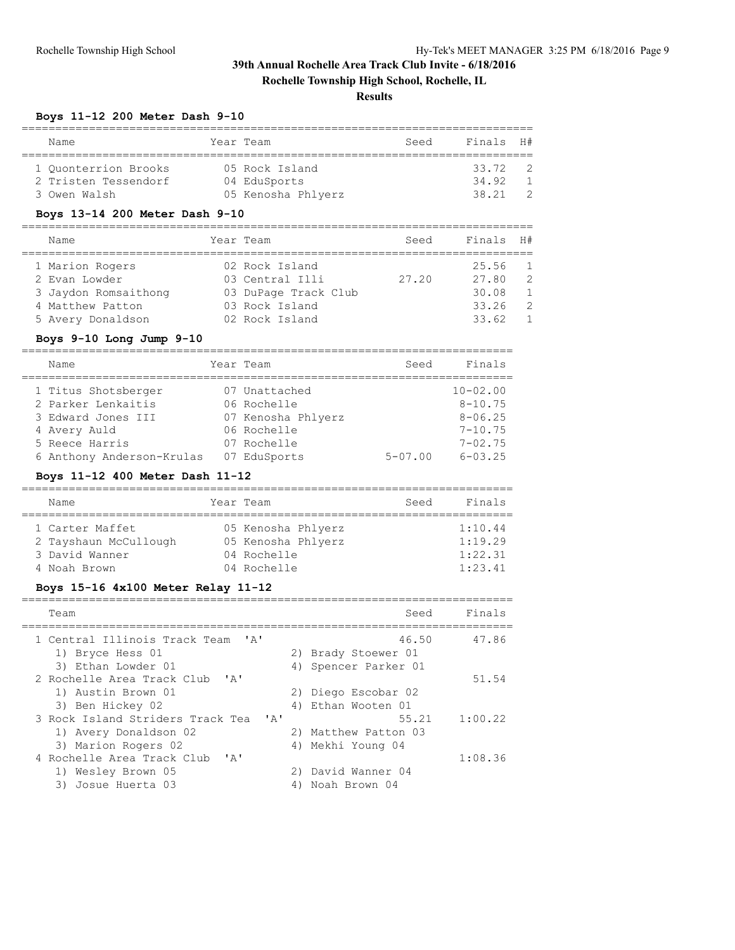### **Rochelle Township High School, Rochelle, IL**

#### **Results**

#### **Boys 11-12 200 Meter Dash 9-10**

| Name                 |  | Year Team          | Seed | Finals H# |  |  |  |  |  |  |  |
|----------------------|--|--------------------|------|-----------|--|--|--|--|--|--|--|
|                      |  |                    |      |           |  |  |  |  |  |  |  |
| 1 Ouonterrion Brooks |  | 05 Rock Island     |      | 33.72     |  |  |  |  |  |  |  |
| 2 Tristen Tessendorf |  | 04 EduSports       |      | 34.92     |  |  |  |  |  |  |  |
| 3 Owen Walsh         |  | 05 Kenosha Phlyerz |      | 38 21     |  |  |  |  |  |  |  |

#### **Boys 13-14 200 Meter Dash 9-10**

| Name                 | Year Team            | Seed  | Finals H# |                |
|----------------------|----------------------|-------|-----------|----------------|
| 1 Marion Rogers      | 02 Rock Island       |       | 25.56     | $\overline{1}$ |
| 2 Evan Lowder        | 03 Central Illi      | 27.20 | 27.80     | - 2            |
| 3 Jaydon Romsaithong | 03 DuPage Track Club |       | 30.08     | $\overline{1}$ |
| 4 Matthew Patton     | 03 Rock Island       |       | 33.26     | - 2            |
| 5 Avery Donaldson    | 02 Rock Island       |       | 33.62     | $\overline{1}$ |

#### **Boys 9-10 Long Jump 9-10**

| Name                      | Year Team          | Seed        | Finals       |
|---------------------------|--------------------|-------------|--------------|
| 1 Titus Shotsberger       | 07 Unattached      |             | $10 - 02.00$ |
| 2 Parker Lenkaitis        | 06 Rochelle        |             | $8 - 10.75$  |
| 3 Edward Jones III        | 07 Kenosha Phlyerz |             | $8 - 06.25$  |
| 4 Avery Auld              | 06 Rochelle        |             | $7 - 10.75$  |
| 5 Reece Harris            | 07 Rochelle        |             | $7 - 02.75$  |
| 6 Anthony Anderson-Krulas | 07 EduSports       | $5 - 07.00$ | $6 - 03.25$  |

#### **Boys 11-12 400 Meter Dash 11-12**

| Name                  | Year Team |                    | Seed | Finals  |  |  |  |  |  |
|-----------------------|-----------|--------------------|------|---------|--|--|--|--|--|
|                       |           |                    |      |         |  |  |  |  |  |
| 1 Carter Maffet       |           | 05 Kenosha Phlyerz |      | 1:10.44 |  |  |  |  |  |
| 2 Tayshaun McCullough |           | 05 Kenosha Phlyerz |      | 1:19.29 |  |  |  |  |  |
| 3 David Wanner        |           | 04 Rochelle        |      | 1:22.31 |  |  |  |  |  |
| 4 Noah Brown          |           | 04 Rochelle        |      | 1:23.41 |  |  |  |  |  |

### **Boys 15-16 4x100 Meter Relay 11-12**

| Team                                                  |      | Seed                         | Finals  |
|-------------------------------------------------------|------|------------------------------|---------|
| 1 Central Illinois Track Team 'A'<br>1) Bryce Hess 01 |      | 46.50<br>2) Brady Stoewer 01 | 47.86   |
| 3) Ethan Lowder 01                                    |      | 4) Spencer Parker 01         |         |
| 2 Rochelle Area Track Club                            | י בי |                              | 51.54   |
| 1) Austin Brown 01                                    |      | 2) Diego Escobar 02          |         |
| 3) Ben Hickey 02                                      |      | 4) Ethan Wooten 01           |         |
| 3 Rock Island Striders Track Tea 'A'                  |      | 55.21                        | 1:00.22 |
| 1) Avery Donaldson 02                                 |      | 2) Matthew Patton 03         |         |
| 3) Marion Rogers 02                                   |      | 4) Mekhi Young 04            |         |
| 4 Rochelle Area Track Club                            | י בי |                              | 1:08.36 |
| 1) Wesley Brown 05                                    |      | 2) David Wanner 04           |         |
| 3) Josue Huerta 03                                    | 4)   | Noah Brown 04                |         |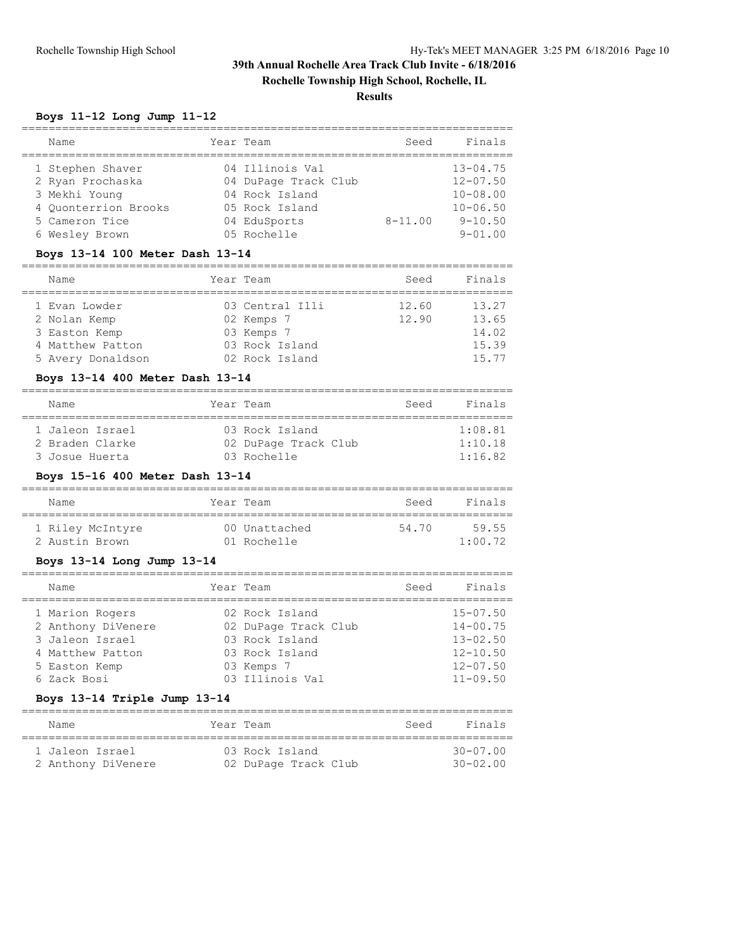**Rochelle Township High School, Rochelle, IL**

## **Results**

### **Boys 11-12 Long Jump 11-12**

| Name                                                                                                                                                 | Year Team<br>----------                                                                                     | Seed                           | Finals                                                                                       |
|------------------------------------------------------------------------------------------------------------------------------------------------------|-------------------------------------------------------------------------------------------------------------|--------------------------------|----------------------------------------------------------------------------------------------|
| 1 Stephen Shaver<br>2 Ryan Prochaska<br>3 Mekhi Young<br>4 Quonterrion Brooks<br>5 Cameron Tice<br>6 Wesley Brown<br>Boys 13-14 100 Meter Dash 13-14 | 04 Illinois Val<br>04 DuPage Track Club<br>04 Rock Island<br>05 Rock Island<br>04 EduSports<br>05 Rochelle  | $8 - 11.00$                    | $13 - 04.75$<br>$12 - 07.50$<br>$10 - 08.00$<br>$10 - 06.50$<br>$9 - 10.50$<br>$9 - 01.00$   |
| Name                                                                                                                                                 | Year Team                                                                                                   | Seed                           | Finals                                                                                       |
| 1 Evan Lowder<br>2 Nolan Kemp<br>3 Easton Kemp<br>4 Matthew Patton<br>5 Avery Donaldson                                                              | 03 Central Illi<br>02 Kemps 7<br>03 Kemps 7<br>03 Rock Island<br>02 Rock Island                             | 12.60<br>12.90                 | 13.27<br>13.65<br>14.02<br>15.39<br>15.77                                                    |
| Boys 13-14 400 Meter Dash 13-14<br>Name                                                                                                              | Year Team                                                                                                   | Seed                           | Finals                                                                                       |
| ===================================<br>1 Jaleon Israel<br>2 Braden Clarke<br>3 Josue Huerta<br>Boys 15-16 400 Meter Dash 13-14                       | 03 Rock Island<br>02 DuPage Track Club<br>03 Rochelle                                                       | ===================            | 1:08.81<br>1:10.18<br>1:16.82                                                                |
| Name                                                                                                                                                 | Year Team                                                                                                   | Seed                           | Finals                                                                                       |
| 1 Riley McIntyre<br>2 Austin Brown<br>Boys 13-14 Long Jump 13-14                                                                                     | 00 Unattached<br>01 Rochelle                                                                                | 54.70                          | 59.55<br>1:00.72                                                                             |
| Name                                                                                                                                                 | Year Team                                                                                                   | ______________________<br>Seed | Finals                                                                                       |
| 1 Marion Rogers<br>2 Anthony DiVenere<br>3 Jaleon Israel<br>4 Matthew Patton<br>5 Easton Kemp<br>6 Zack Bosi                                         | 02 Rock Island<br>02 DuPage Track Club<br>03 Rock Island<br>03 Rock Island<br>03 Kemps 7<br>03 Illinois Val |                                | $15 - 07.50$<br>$14 - 00.75$<br>$13 - 02.50$<br>$12 - 10.50$<br>$12 - 07.50$<br>$11 - 09.50$ |

### **Boys 13-14 Triple Jump 13-14**

| Name               |  | Year Team            | Seed | Finals       |
|--------------------|--|----------------------|------|--------------|
|                    |  |                      |      |              |
|                    |  |                      |      |              |
| 1 Jaleon Israel    |  | 03 Rock Island       |      | $30 - 07.00$ |
| 2 Anthony DiVenere |  | 02 DuPage Track Club |      | $30 - 02.00$ |
|                    |  |                      |      |              |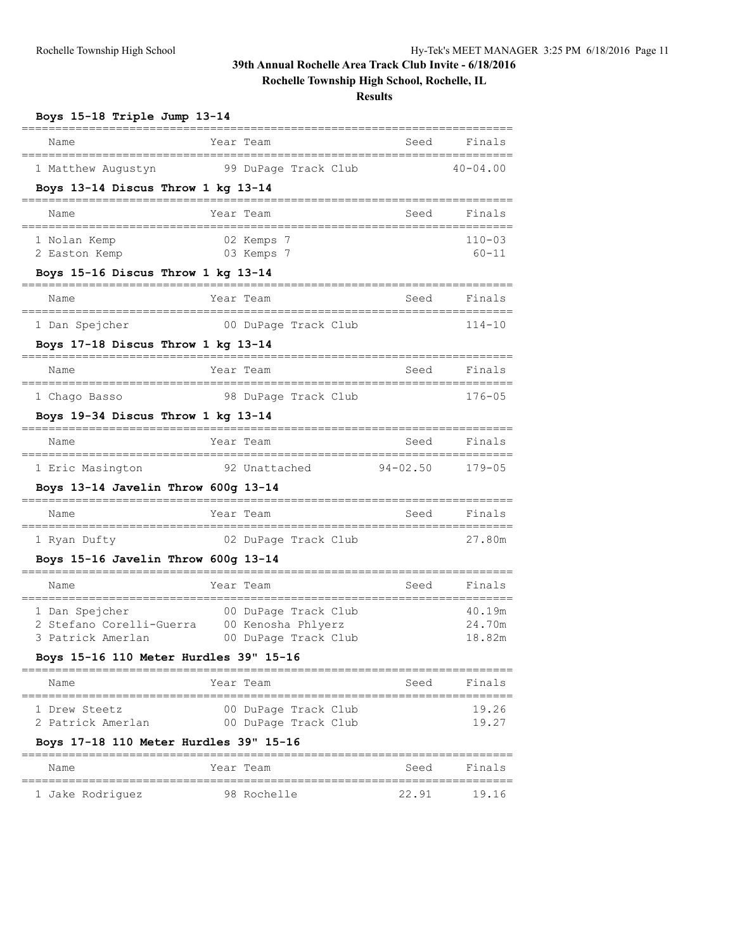# **Rochelle Township High School, Rochelle, IL**

| Boys 15-18 Triple Jump 13-14                                                                              |                                                                        |              |                            |
|-----------------------------------------------------------------------------------------------------------|------------------------------------------------------------------------|--------------|----------------------------|
| Name                                                                                                      | Year Team                                                              | Seed         | Finals                     |
| 1 Matthew Augustyn<br>Boys 13-14 Discus Throw 1 kg 13-14                                                  | 99 DuPage Track Club                                                   |              | $40 - 04.00$               |
| Name                                                                                                      | Year Team                                                              | Seed         | Finals                     |
| 1 Nolan Kemp<br>2 Easton Kemp                                                                             | 02 Kemps 7<br>03 Kemps 7                                               |              | $110 - 03$<br>$60 - 11$    |
| Boys 15-16 Discus Throw 1 kg 13-14                                                                        |                                                                        |              |                            |
| Name                                                                                                      | Year Team                                                              | Seed         | Finals                     |
| 1 Dan Spejcher<br>Boys 17-18 Discus Throw 1 kg 13-14                                                      | 00 DuPage Track Club                                                   |              | $114 - 10$                 |
| Name                                                                                                      | Year Team                                                              | Seed         | Finals                     |
| 1 Chago Basso<br>Boys 19-34 Discus Throw 1 kg 13-14                                                       | 98 DuPage Track Club                                                   |              | $176 - 05$                 |
| Name                                                                                                      | Year Team                                                              | Seed         | Finals                     |
| 1 Eric Masington<br>Boys $13-14$ Javelin Throw $600q$ 13-14                                               | 92 Unattached                                                          | $94 - 02.50$ | $179 - 05$                 |
| Name                                                                                                      | Year Team                                                              | Seed         | Finals                     |
| 1 Ryan Dufty<br>Boys $15-16$ Javelin Throw $600q$ 13-14                                                   | 02 DuPage Track Club                                                   |              | 27.80m                     |
| Name                                                                                                      | Year Team                                                              | Seed         | Finals                     |
| 1 Dan Spejcher<br>2 Stefano Corelli-Guerra<br>3 Patrick Amerlan<br>Boys 15-16 110 Meter Hurdles 39" 15-16 | 00 DuPage Track Club<br>00 Kenosha Phlyerz<br>00 DuPage Track Club     |              | 40.19m<br>24.70m<br>18.82m |
| Name                                                                                                      | Year Team                                                              | Seed         | Finals                     |
| 1 Drew Steetz<br>2 Patrick Amerlan                                                                        | ======================<br>00 DuPage Track Club<br>00 DuPage Track Club |              | 19.26<br>19.27             |
| Boys 17-18 110 Meter Hurdles 39" 15-16<br>Name                                                            | ================================<br>Year Team                          | Seed         | Finals                     |

| name             | rear ream   | seea  | FINAIS |
|------------------|-------------|-------|--------|
|                  |             |       |        |
| 1 Jake Rodriquez | 98 Rochelle | 22.91 | 19.16  |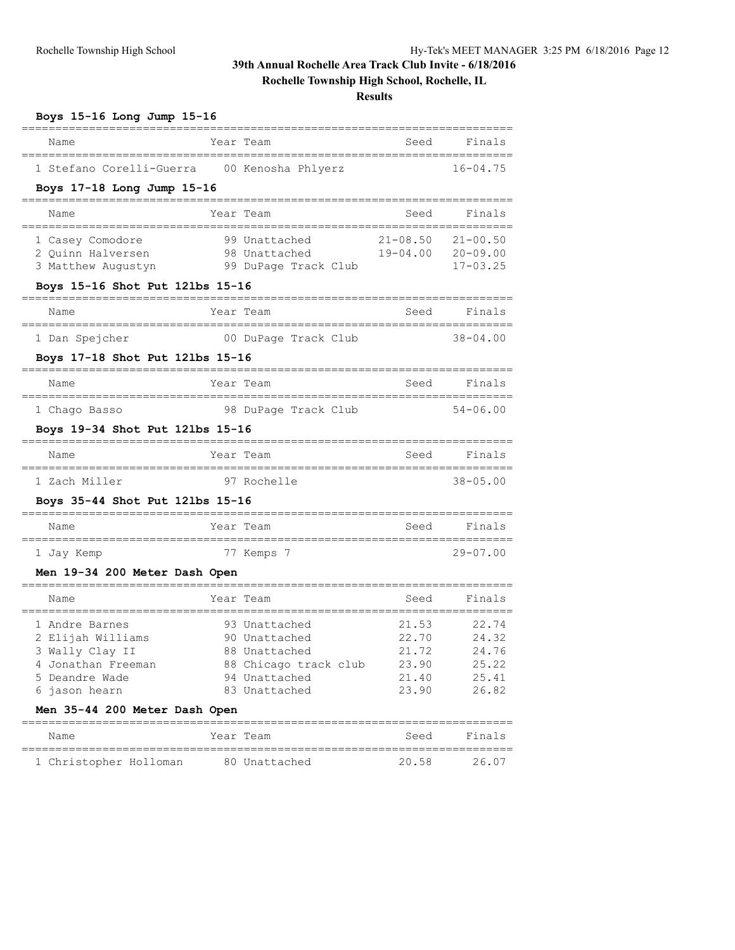# **Rochelle Township High School, Rochelle, IL**

| Boys 15-16 Long Jump 15-16                                                                                                                       |                            |                                                                                                            |                                                    |                                                    |  |  |  |  |
|--------------------------------------------------------------------------------------------------------------------------------------------------|----------------------------|------------------------------------------------------------------------------------------------------------|----------------------------------------------------|----------------------------------------------------|--|--|--|--|
| Name                                                                                                                                             |                            | Year Team                                                                                                  | Seed                                               | Finals                                             |  |  |  |  |
| 1 Stefano Corelli-Guerra                                                                                                                         |                            | 00 Kenosha Phlyerz                                                                                         |                                                    | $16 - 04.75$                                       |  |  |  |  |
|                                                                                                                                                  | Boys 17-18 Long Jump 15-16 |                                                                                                            |                                                    |                                                    |  |  |  |  |
| Name                                                                                                                                             |                            | Year Team                                                                                                  | Seed                                               | Finals                                             |  |  |  |  |
| 1 Casey Comodore<br>2 Ouinn Halversen<br>3 Matthew Augustyn<br>Boys 15-16 Shot Put 121bs 15-16                                                   |                            | 99 Unattached<br>98 Unattached<br>99 DuPage Track Club                                                     | $21 - 08.50$<br>$19 - 04.00$                       | $21 - 00.50$<br>$20 - 09.00$<br>$17 - 03.25$       |  |  |  |  |
| Name                                                                                                                                             |                            | Year Team                                                                                                  | Seed                                               | Finals                                             |  |  |  |  |
| 1 Dan Spejcher                                                                                                                                   |                            | 00 DuPage Track Club                                                                                       |                                                    | $38 - 04.00$                                       |  |  |  |  |
| Boys 17-18 Shot Put 121bs 15-16                                                                                                                  |                            |                                                                                                            |                                                    |                                                    |  |  |  |  |
| Name                                                                                                                                             |                            | Year Team                                                                                                  | Seed                                               | Finals                                             |  |  |  |  |
| 1 Chago Basso                                                                                                                                    |                            | 98 DuPage Track Club                                                                                       |                                                    | $54 - 06.00$                                       |  |  |  |  |
| Boys 19-34 Shot Put 121bs 15-16                                                                                                                  |                            |                                                                                                            |                                                    |                                                    |  |  |  |  |
| Name                                                                                                                                             |                            | Year Team                                                                                                  | Seed                                               | Finals                                             |  |  |  |  |
| 1 Zach Miller                                                                                                                                    |                            | 97 Rochelle                                                                                                |                                                    | $38 - 05.00$                                       |  |  |  |  |
| Boys 35-44 Shot Put 121bs 15-16                                                                                                                  |                            |                                                                                                            |                                                    |                                                    |  |  |  |  |
| Name                                                                                                                                             |                            | Year Team                                                                                                  | Seed                                               | Finals                                             |  |  |  |  |
| 1 Jay Kemp                                                                                                                                       |                            | 77 Kemps 7                                                                                                 |                                                    | $29 - 07.00$                                       |  |  |  |  |
| Men 19-34 200 Meter Dash Open                                                                                                                    |                            |                                                                                                            |                                                    |                                                    |  |  |  |  |
| Name                                                                                                                                             |                            | Year Team                                                                                                  | Seed                                               | Finals                                             |  |  |  |  |
| 1 Andre Barnes<br>2 Elijah Williams<br>3 Wally Clay II<br>4 Jonathan Freeman<br>5 Deandre Wade<br>6 jason hearn<br>Men 35-44 200 Meter Dash Open |                            | 93 Unattached<br>90 Unattached<br>88 Unattached<br>88 Chicago track club<br>94 Unattached<br>83 Unattached | 21.53<br>22.70<br>21.72<br>23.90<br>21.40<br>23.90 | 22.74<br>24.32<br>24.76<br>25.22<br>25.41<br>26.82 |  |  |  |  |
| Name                                                                                                                                             |                            | Year Team                                                                                                  | Seed                                               | Finals                                             |  |  |  |  |
| 1 Christopher Holloman                                                                                                                           |                            | 80 Unattached                                                                                              | 20.58                                              | 26.07                                              |  |  |  |  |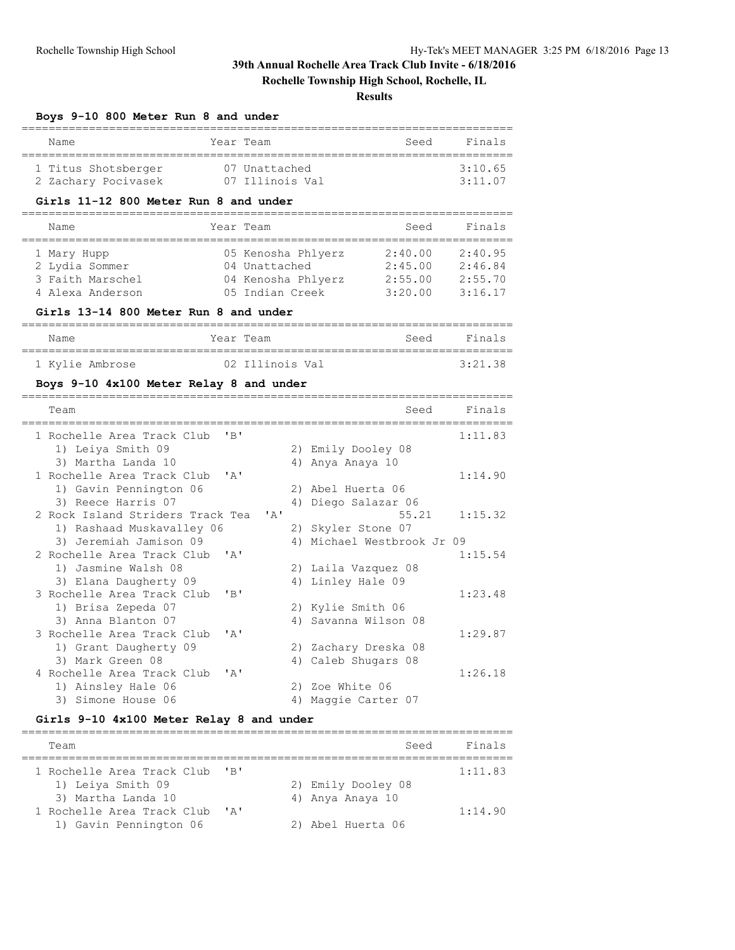### **Rochelle Township High School, Rochelle, IL**

#### **Results**

#### **Boys 9-10 800 Meter Run 8 and under**

| Name                | Year Team       | Seed | Finals  |
|---------------------|-----------------|------|---------|
| 1 Titus Shotsberger | 07 Unattached   |      | 3:10.65 |
| 2 Zachary Pocivasek | 07 Illinois Val |      | 3:11.07 |

#### **Girls 11-12 800 Meter Run 8 and under**

| Name             | Year Team          | Seed    | Finals  |
|------------------|--------------------|---------|---------|
| 1 Mary Hupp      | 05 Kenosha Phlyerz | 2:40.00 | 2:40.95 |
| 2 Lydia Sommer   | 04 Unattached      | 2:45.00 | 2:46.84 |
| 3 Faith Marschel | 04 Kenosha Phlyerz | 2:55.00 | 2:55.70 |
| 4 Alexa Anderson | 05 Indian Creek    | 3:20.00 | 3:16.17 |

#### **Girls 13-14 800 Meter Run 8 and under**

| Name            | Year Team       | Seed | Finals  |
|-----------------|-----------------|------|---------|
| 1 Kylie Ambrose | 02 Illinois Val |      | 3:21.38 |

### **Boys 9-10 4x100 Meter Relay 8 and under**

| Team                                       | Seed                       | Finals  |
|--------------------------------------------|----------------------------|---------|
| $'$ R $'$<br>1 Rochelle Area Track Club    |                            | 1:11.83 |
| 1) Leiya Smith 09                          | 2) Emily Dooley 08         |         |
| 3) Martha Landa 10                         | 4) Anya Anaya 10           |         |
| 1 Rochelle Area Track Club 'A'             |                            | 1:14.90 |
| 1) Gavin Pennington 06                     | 2) Abel Huerta 06          |         |
| 3) Reece Harris 07                         | 4) Diego Salazar 06        |         |
| 2 Rock Island Striders Track Tea 'A'       | 55.21                      | 1:15.32 |
| 1) Rashaad Muskavalley 06                  | 2) Skyler Stone 07         |         |
| 3) Jeremiah Jamison 09                     | 4) Michael Westbrook Jr 09 |         |
| 2 Rochelle Area Track Club 'A'             |                            | 1:15.54 |
| 1) Jasmine Walsh 08                        | 2) Laila Vazquez 08        |         |
| 3) Elana Daugherty 09                      | 4) Linley Hale 09          |         |
| "B"<br>3 Rochelle Area Track Club          |                            | 1:23.48 |
| 1) Brisa Zepeda 07                         | 2) Kylie Smith 06          |         |
| 3) Anna Blanton 07                         | 4) Savanna Wilson 08       |         |
| 3 Rochelle Area Track Club<br>$\mathbf{A}$ |                            | 1:29.87 |
| 1) Grant Daugherty 09                      | 2) Zachary Dreska 08       |         |
| 3) Mark Green 08                           | 4) Caleb Shugars 08        |         |
| 4 Rochelle Area Track Club<br>$\mathbf{A}$ |                            | 1:26.18 |
| 1) Ainsley Hale 06                         | 2) Zoe White 06            |         |
| 3) Simone House 06                         | 4) Maggie Carter 07        |         |

### **Girls 9-10 4x100 Meter Relay 8 and under**

| Team                       |                           | Seed               | Finals  |
|----------------------------|---------------------------|--------------------|---------|
| 1 Rochelle Area Track Club | $^{\prime}$ R $^{\prime}$ |                    | 1:11.83 |
| 1) Leiya Smith 09          |                           | 2) Emily Dooley 08 |         |
| 3) Martha Landa 10         |                           | 4) Anya Anaya 10   |         |
| 1 Rochelle Area Track Club | $\mathsf{A}$              |                    | 1:14.90 |
| 1) Gavin Pennington 06     |                           | 2) Abel Huerta 06  |         |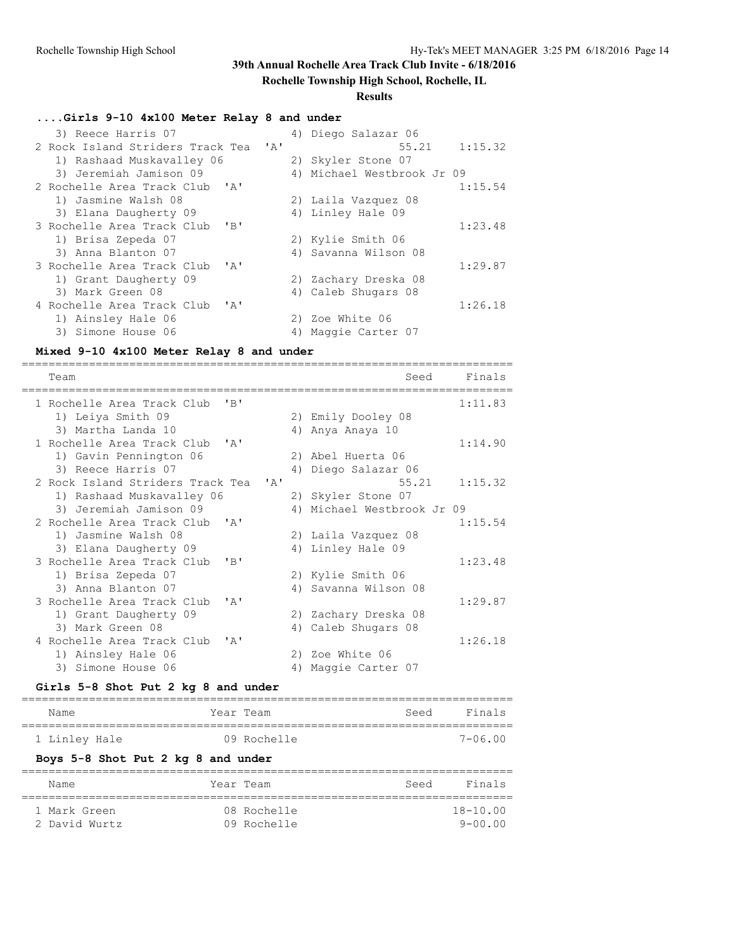### **Rochelle Township High School, Rochelle, IL**

### **Results**

### **....Girls 9-10 4x100 Meter Relay 8 and under**

| 4) Diego Salazar 06                                       |
|-----------------------------------------------------------|
| $55.21$ $1:15.32$<br>2 Rock Island Striders Track Tea 'A' |
| 2) Skyler Stone 07                                        |
| 4) Michael Westbrook Jr 09                                |
| 1:15.54                                                   |
| 2) Laila Vazquez 08                                       |
| 4) Linley Hale 09                                         |
| 1:23.48                                                   |
| 2) Kylie Smith 06                                         |
| 4) Savanna Wilson 08                                      |
| 1:29.87                                                   |
| 2) Zachary Dreska 08                                      |
| 4) Caleb Shugars 08                                       |
| 1:26.18                                                   |
| 2) Zoe White 06                                           |
| Maggie Carter 07<br>4)                                    |
|                                                           |

#### **Mixed 9-10 4x100 Meter Relay 8 and under**

| Team                                                         | Seed                          | Finals |
|--------------------------------------------------------------|-------------------------------|--------|
| $'$ R $'$<br>1 Rochelle Area Track Club                      | 1:11.83                       |        |
| 1) Leiya Smith 09                                            | 2) Emily Dooley 08            |        |
| 3) Martha Landa 10                                           | 4) Anya Anaya 10              |        |
| 1 Rochelle Area Track Club<br>$\mathsf{I} \wedge \mathsf{I}$ | 1:14.90                       |        |
| 1) Gavin Pennington 06                                       | 2) Abel Huerta 06             |        |
| 3) Reece Harris 07                                           | 4) Diego Salazar 06           |        |
| 2 Rock Island Striders Track Tea 'A'                         | 55.21<br>1:15.32              |        |
| 1) Rashaad Muskavalley 06                                    | 2) Skyler Stone 07            |        |
| 3) Jeremiah Jamison 09                                       | Michael Westbrook Jr 09<br>4) |        |
| 2 Rochelle Area Track Club 'A'                               | 1:15.54                       |        |
| 1) Jasmine Walsh 08                                          | 2) Laila Vazquez 08           |        |
| 3) Elana Daugherty 09                                        | 4) Linley Hale 09             |        |
| 3 Rochelle Area Track Club<br>"B"                            | 1:23.48                       |        |
| 1) Brisa Zepeda 07                                           | 2) Kylie Smith 06             |        |
| 3) Anna Blanton 07                                           | 4) Savanna Wilson 08          |        |
| 3 Rochelle Area Track Club<br>$\mathbf{A}$                   | 1:29.87                       |        |
| 1) Grant Daugherty 09                                        | 2) Zachary Dreska 08          |        |
| 3) Mark Green 08                                             | 4) Caleb Shugars 08           |        |
| 4 Rochelle Area Track Club<br>$'$ $\wedge$                   | 1:26.18                       |        |
| 1) Ainsley Hale 06                                           | 2) Zoe White 06               |        |
| 3) Simone House 06                                           | 4) Maggie Carter 07           |        |

### **Girls 5-8 Shot Put 2 kg 8 and under**

| Name                               | Year Team   | Seed | Finals      |
|------------------------------------|-------------|------|-------------|
| 1 Linley Hale                      | 09 Rochelle |      | $7 - 06.00$ |
| Boys 5-8 Shot Put 2 kg 8 and under |             |      |             |
| Name                               | Year Team   | Seed | Finals      |
|                                    |             |      |             |

 1 Mark Green 08 Rochelle 18-10.00 2 David Wurtz 09 Rochelle 9-00.00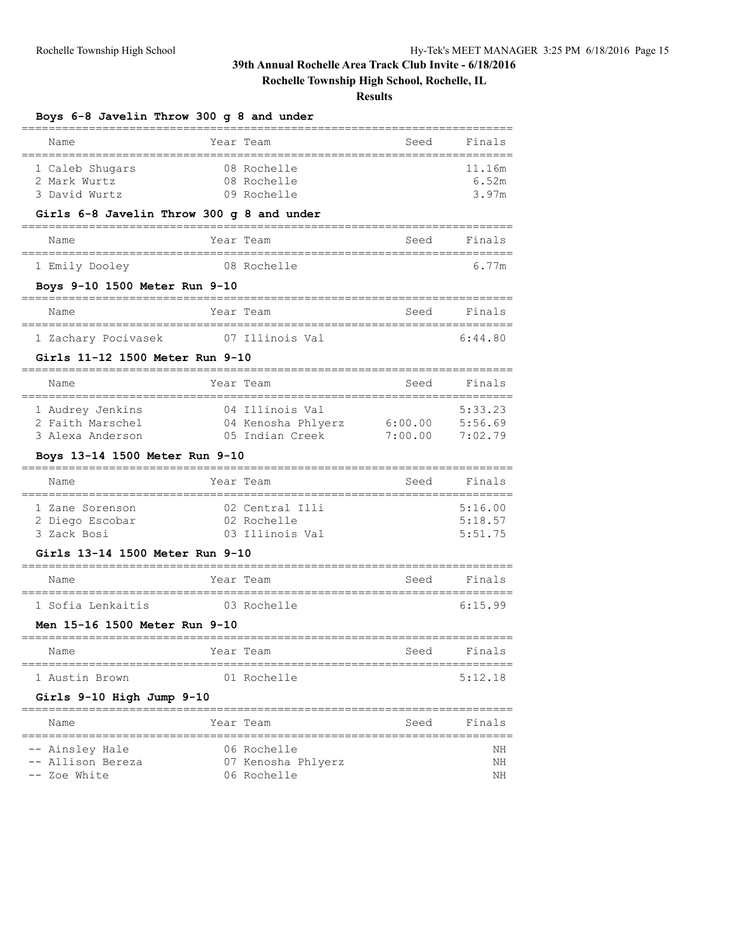**Rochelle Township High School, Rochelle, IL**

| Boys 6-8 Javelin Throw 300 g 8 and under                                                   |           |                                                          |                                         |                               |
|--------------------------------------------------------------------------------------------|-----------|----------------------------------------------------------|-----------------------------------------|-------------------------------|
| Name                                                                                       | Year Team |                                                          | Seed                                    | Finals                        |
| 1 Caleb Shugars<br>2 Mark Wurtz<br>3 David Wurtz                                           |           | 08 Rochelle<br>08 Rochelle<br>09 Rochelle                |                                         | 11.16m<br>6.52m<br>3.97m      |
| Girls 6-8 Javelin Throw 300 g 8 and under                                                  |           |                                                          |                                         |                               |
| Name                                                                                       | Year Team |                                                          | Seed                                    | Finals                        |
| 1 Emily Dooley                                                                             |           | 08 Rochelle                                              |                                         | 6.77m                         |
| Boys 9-10 1500 Meter Run 9-10<br>__________________________________                        |           |                                                          |                                         |                               |
| Name                                                                                       | Year Team |                                                          | Seed                                    | Finals                        |
| 1 Zachary Pocivasek                                                                        |           | 07 Illinois Val                                          |                                         | 6:44.80                       |
| Girls 11-12 1500 Meter Run 9-10                                                            |           |                                                          |                                         |                               |
| Name                                                                                       | Year Team |                                                          | Seed                                    | Finals                        |
| 1 Audrey Jenkins<br>2 Faith Marschel<br>3 Alexa Anderson<br>Boys 13-14 1500 Meter Run 9-10 |           | 04 Illinois Val<br>04 Kenosha Phlyerz<br>05 Indian Creek | =================<br>6:00.00<br>7:00.00 | 5:33.23<br>5:56.69<br>7:02.79 |
| Name                                                                                       | Year Team |                                                          | Seed                                    | Finals                        |
| 1 Zane Sorenson<br>2 Diego Escobar<br>3 Zack Bosi                                          |           | 02 Central Illi<br>02 Rochelle<br>03 Illinois Val        |                                         | 5:16.00<br>5:18.57<br>5:51.75 |
| Girls 13-14 1500 Meter Run 9-10                                                            |           |                                                          | ==========================              |                               |
| Name                                                                                       | Year Team |                                                          | Seed                                    | Finals                        |
| 1 Sofia Lenkaitis                                                                          |           | 03 Rochelle                                              |                                         | 6:15.99                       |
| Men 15-16 1500 Meter Run 9-10                                                              |           |                                                          |                                         |                               |
| Name                                                                                       | Year      | Team                                                     | ===========================<br>Seed     | Finals                        |
| =============================<br>1 Austin Brown                                            |           | ============================<br>01 Rochelle              |                                         | 5:12.18                       |
| Girls 9-10 High Jump 9-10                                                                  |           |                                                          |                                         |                               |
| ==================<br>Name                                                                 | Year Team | ============                                             | Seed                                    | Finals                        |
| ----------------------------<br>Ainsley Hale<br>-- Allison Bereza<br>Zoe White             |           | 06 Rochelle<br>07 Kenosha Phlyerz<br>06 Rochelle         |                                         | NΗ<br>ΝH<br>ΝH                |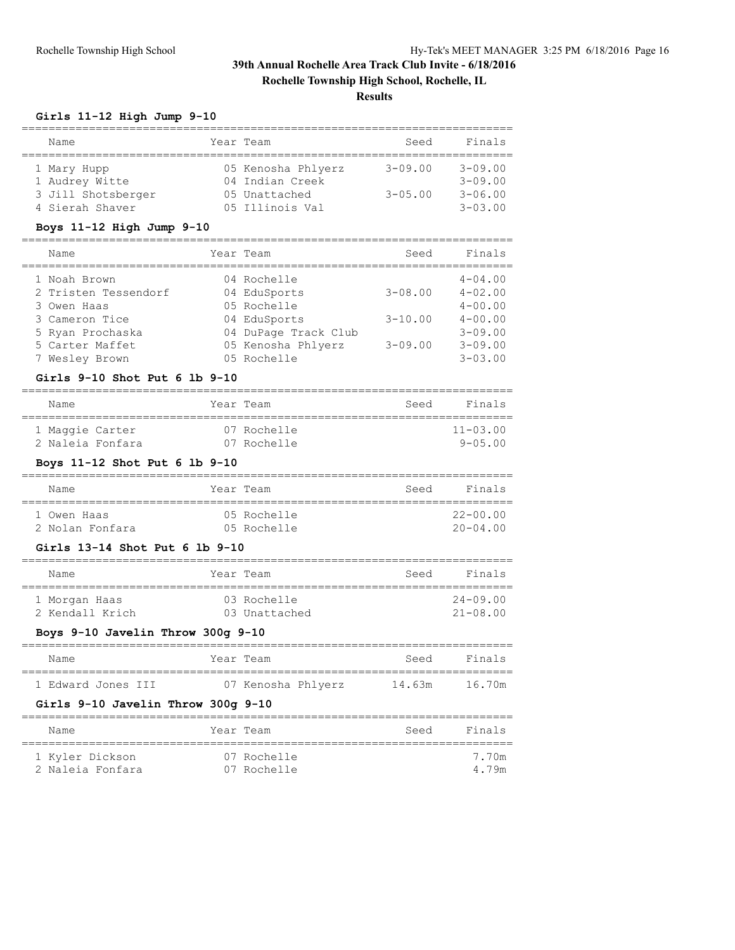**Rochelle Township High School, Rochelle, IL**

**Results**

### **Girls 11-12 High Jump 9-10**

| Name               | Year Team          | Seed        | Finals         |
|--------------------|--------------------|-------------|----------------|
|                    |                    |             |                |
| 1 Mary Hupp        | 05 Kenosha Phlyerz | $3 - 09.00$ | $3 - 09.00$    |
| 1 Audrey Witte     | 04 Indian Creek    |             | $3 - 09.00$    |
| 3 Jill Shotsberger | 05 Unattached      | $3 - 05.00$ | $3 - 06.00$    |
| 4 Sierah Shaver    | 05 Illinois Val    |             | $3 - 0.3$ , 00 |

#### **Boys 11-12 High Jump 9-10**

| Name                 | Year Team            | Seed        | Finals      |
|----------------------|----------------------|-------------|-------------|
| 1 Noah Brown         | 04 Rochelle          |             | $4 - 04.00$ |
| 2 Tristen Tessendorf | 04 EduSports         | $3 - 08.00$ | $4 - 02.00$ |
| 3 Owen Haas          | 05 Rochelle          |             | $4 - 00.00$ |
| 3 Cameron Tice       | 04 EduSports         | $3 - 10.00$ | $4 - 00.00$ |
| 5 Ryan Prochaska     | 04 DuPage Track Club |             | $3 - 09.00$ |
| 5 Carter Maffet      | 05 Kenosha Phlyerz   | $3 - 09.00$ | $3 - 09.00$ |
| 7 Wesley Brown       | 05 Rochelle          |             | $3 - 03.00$ |

#### **Girls 9-10 Shot Put 6 lb 9-10**

| Name             |  | Year Team   | Seed | Finals          |
|------------------|--|-------------|------|-----------------|
| 1 Maggie Carter  |  | 07 Rochelle |      | $11 - 0.3$ , 00 |
| 2 Naleia Fonfara |  | 07 Rochelle |      | $9 - 0.5$ . 00  |

### **Boys 11-12 Shot Put 6 lb 9-10**

|                                        | Seed                                    | Finals       |
|----------------------------------------|-----------------------------------------|--------------|
|                                        |                                         |              |
|                                        |                                         | $22 - 00.00$ |
|                                        |                                         | $20 - 04.00$ |
| Name<br>1 Owen Haas<br>2 Nolan Fonfara | Year Team<br>05 Rochelle<br>05 Rochelle |              |

#### **Girls 13-14 Shot Put 6 lb 9-10**

| Name            | Year Team     | Seed | Finals       |
|-----------------|---------------|------|--------------|
| 1 Morgan Haas   | 03 Rochelle   |      | $24 - 09.00$ |
| 2 Kendall Krich | 03 Unattached |      | $21 - 08.00$ |

### **Boys 9-10 Javelin Throw 300g 9-10**

| Name               |  | Year Team |                    | Seed   | Finals |  |
|--------------------|--|-----------|--------------------|--------|--------|--|
|                    |  |           |                    |        |        |  |
| 1 Edward Jones III |  |           | 07 Kenosha Phlyerz | 14.63m | 16.70m |  |

### **Girls 9-10 Javelin Throw 300g 9-10**

| Name             | Year Team   | Seed | Finals |
|------------------|-------------|------|--------|
| 1 Kyler Dickson  | 07 Rochelle |      | 7.70m  |
| 2 Naleia Fonfara | 07 Rochelle |      | 4.79m  |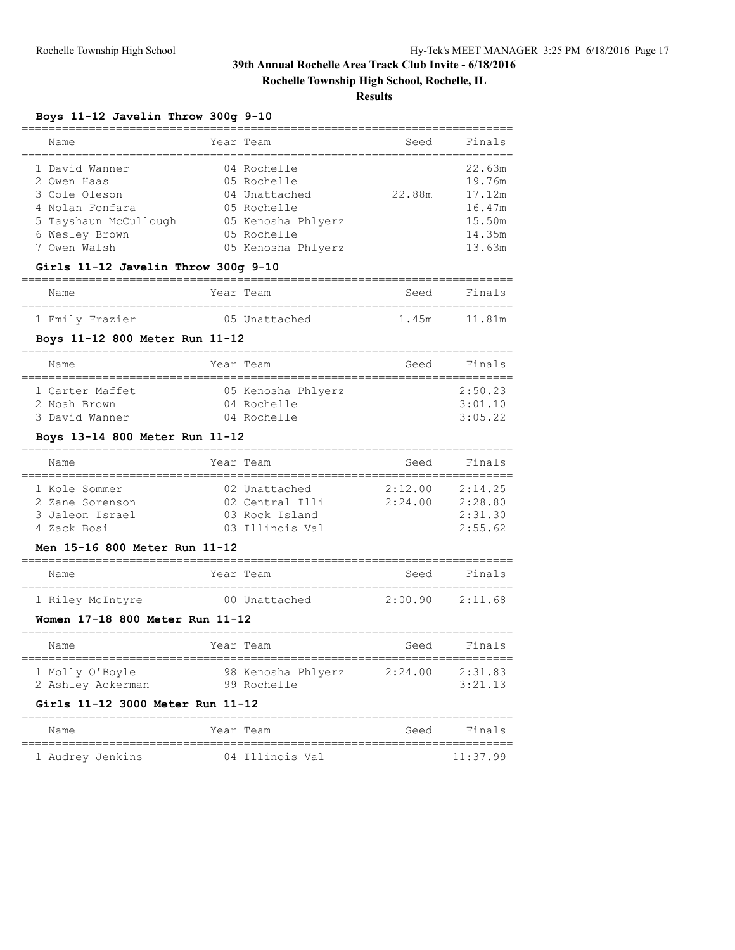**Rochelle Township High School, Rochelle, IL**

### **Results**

### **Boys 11-12 Javelin Throw 300g 9-10**

| Name                                                                                                                                                                | Year Team                                                                                                             | Seed               | Finals                                                             |
|---------------------------------------------------------------------------------------------------------------------------------------------------------------------|-----------------------------------------------------------------------------------------------------------------------|--------------------|--------------------------------------------------------------------|
| 1 David Wanner<br>2 Owen Haas<br>3 Cole Oleson<br>4 Nolan Fonfara<br>5 Tayshaun McCullough<br>6 Wesley Brown<br>7 Owen Walsh<br>Girls 11-12 Javelin Throw 300g 9-10 | 04 Rochelle<br>05 Rochelle<br>04 Unattached<br>05 Rochelle<br>05 Kenosha Phlyerz<br>05 Rochelle<br>05 Kenosha Phlyerz | 22.88m             | 22.63m<br>19.76m<br>17.12m<br>16.47m<br>15.50m<br>14.35m<br>13.63m |
| Name                                                                                                                                                                | Year Team                                                                                                             | Seed               | Finals                                                             |
| 1 Emily Frazier                                                                                                                                                     | 05 Unattached                                                                                                         | 1.45m              | 11.81m                                                             |
| Boys 11-12 800 Meter Run 11-12                                                                                                                                      |                                                                                                                       |                    |                                                                    |
| Name                                                                                                                                                                | Year Team                                                                                                             | Seed               | Finals                                                             |
| 1 Carter Maffet<br>2 Noah Brown<br>3 David Wanner                                                                                                                   | 05 Kenosha Phlyerz<br>04 Rochelle<br>04 Rochelle                                                                      |                    | 2:50.23<br>3:01.10<br>3:05.22                                      |
| Boys 13-14 800 Meter Run 11-12                                                                                                                                      |                                                                                                                       |                    |                                                                    |
| Name                                                                                                                                                                | Year Team                                                                                                             | Seed               | Finals                                                             |
| 1 Kole Sommer<br>2 Zane Sorenson<br>3 Jaleon Israel<br>4 Zack Bosi<br>Men 15-16 800 Meter Run 11-12                                                                 | 02 Unattached<br>02 Central Illi<br>03 Rock Island<br>03 Illinois Val                                                 | 2:12.00<br>2:24.00 | 2:14.25<br>2:28.80<br>2:31.30<br>2:55.62                           |
| Name                                                                                                                                                                | Year Team                                                                                                             | Seed               | Finals                                                             |
| 1 Riley McIntyre                                                                                                                                                    | 00 Unattached                                                                                                         | 2:00.90            | 2:11.68                                                            |

### **Women 17-18 800 Meter Run 11-12**

| Name                                 | Year Team                         | Seed    | Finals             |
|--------------------------------------|-----------------------------------|---------|--------------------|
| 1 Molly O'Boyle<br>2 Ashley Ackerman | 98 Kenosha Phlyerz<br>99 Rochelle | 2:24.00 | 2:31.83<br>3:21.13 |

### **Girls 11-12 3000 Meter Run 11-12**

| Name             | Year Team       | Seed | Finals   |
|------------------|-----------------|------|----------|
| 1 Audrey Jenkins | 04 Illinois Val |      | 11:37.99 |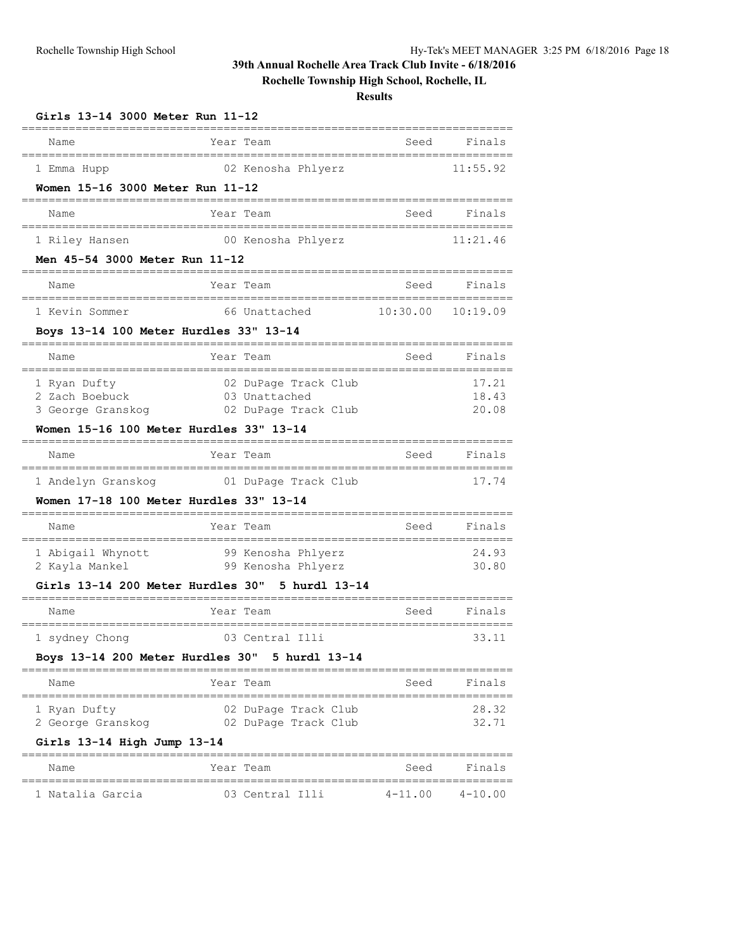# **Rochelle Township High School, Rochelle, IL**

| Girls 13-14 3000 Meter Run 11-12                           |                                       |             |                    |
|------------------------------------------------------------|---------------------------------------|-------------|--------------------|
| Name                                                       | Year Team                             | Seed        | Finals             |
| 1 Emma Hupp                                                | 02 Kenosha Phlyerz                    |             | 11:55.92           |
| Women 15-16 3000 Meter Run 11-12                           |                                       |             |                    |
| Name                                                       | Year Team                             | Seed        | Finals             |
| 1 Riley Hansen                                             | 00 Kenosha Phlyerz                    |             | 11:21.46           |
| Men 45-54 3000 Meter Run 11-12                             |                                       |             |                    |
| Name                                                       | Year Team                             | Seed        | Finals             |
| 1 Kevin Sommer                                             | 66 Unattached                         | 10:30.00    | 10:19.09           |
| Boys 13-14 100 Meter Hurdles 33" 13-14                     |                                       |             |                    |
| Name                                                       | Year Team                             | Seed        | Finals             |
| 1 Ryan Dufty                                               | 02 DuPage Track Club                  |             | 17.21              |
| 2 Zach Boebuck<br>3 George Granskog                        | 03 Unattached<br>02 DuPage Track Club |             | 18.43<br>20.08     |
| Women 15-16 100 Meter Hurdles 33" 13-14                    |                                       |             |                    |
| Name                                                       | Year Team                             | Seed        | Finals             |
| 1 Andelyn Granskog                                         | 01 DuPage Track Club                  |             | 17.74              |
| Women 17-18 100 Meter Hurdles 33" 13-14<br>_______________ |                                       |             |                    |
| Name<br>===================                                | Year Team                             | Seed        | Finals             |
| 1 Abigail Whynott                                          | 99 Kenosha Phlyerz                    |             | 24.93              |
| 2 Kayla Mankel                                             | 99 Kenosha Phlyerz                    |             | 30.80              |
| Girls 13-14 200 Meter Hurdles 30" 5 hurdl 13-14            |                                       |             |                    |
| Name                                                       | Year Team                             | Seed        | Finals             |
| 1 sydney Chong                                             | 03 Central Illi                       |             | 33.11              |
| Boys 13-14 200 Meter Hurdles 30" 5 hurdl 13-14             |                                       |             |                    |
| Name                                                       | Year Team                             | Seed        | Finals             |
| 1 Ryan Dufty                                               | 02 DuPage Track Club                  |             | 28.32              |
| 2 George Granskog                                          | 02 DuPage Track Club                  |             | 32.71              |
| Girls 13-14 High Jump 13-14                                |                                       |             |                    |
| Name                                                       | Year Team<br>=======================  | Seed        | Finals<br>======== |
| 1 Natalia Garcia                                           | 03 Central Illi                       | $4 - 11.00$ | $4 - 10.00$        |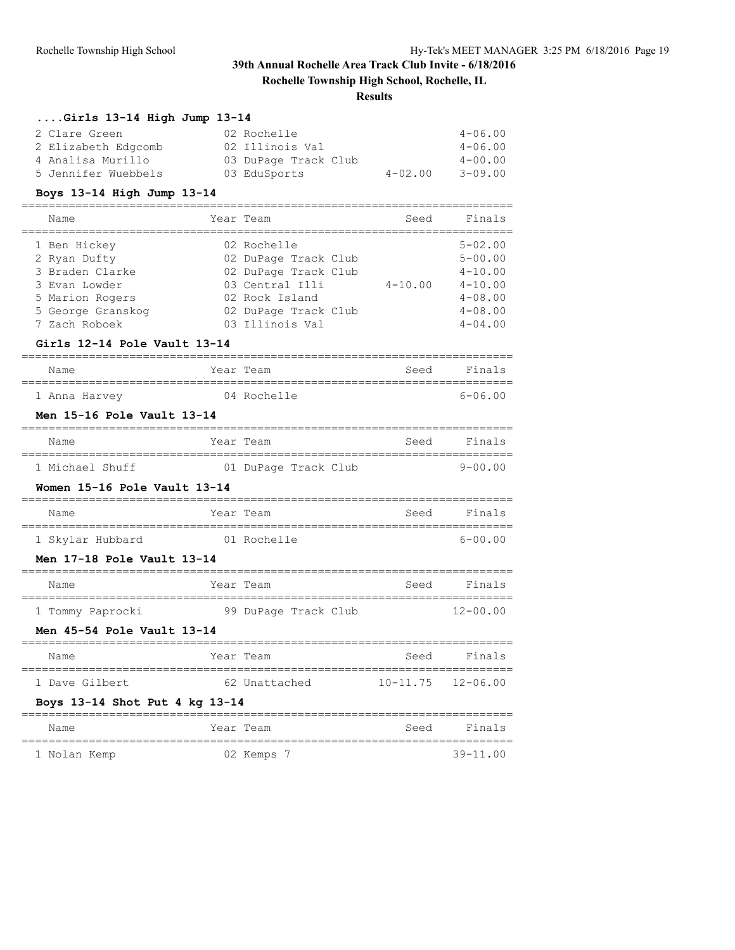**Rochelle Township High School, Rochelle, IL**

### **Results**

### **....Girls 13-14 High Jump 13-14**

| 2 Clare Green<br>02 Rochelle                       | $4 - 06.00$ |
|----------------------------------------------------|-------------|
| 2 Elizabeth Edgcomb<br>02 Illinois Val             | $4 - 06.00$ |
| 03 DuPage Track Club<br>4 Analisa Murillo          | $4 - 00.00$ |
| 5 Jennifer Wuebbels<br>$4 - 02.00$<br>03 EduSports | $3 - 09.00$ |

# **Boys 13-14 High Jump 13-14**

| Name                                                                                                                      | Year Team                                                                                                                                   | Seed        | Finals                                                                                                |
|---------------------------------------------------------------------------------------------------------------------------|---------------------------------------------------------------------------------------------------------------------------------------------|-------------|-------------------------------------------------------------------------------------------------------|
| 1 Ben Hickey<br>2 Ryan Dufty<br>3 Braden Clarke<br>3 Evan Lowder<br>5 Marion Rogers<br>5 George Granskog<br>7 Zach Roboek | 02 Rochelle<br>02 DuPage Track Club<br>02 DuPage Track Club<br>03 Central Illi<br>02 Rock Island<br>02 DuPage Track Club<br>03 Illinois Val | $4 - 10.00$ | $5 - 02.00$<br>$5 - 00.00$<br>$4 - 10.00$<br>$4 - 10.00$<br>$4 - 08.00$<br>$4 - 08.00$<br>$4 - 04.00$ |
|                                                                                                                           |                                                                                                                                             |             |                                                                                                       |

### **Girls 12-14 Pole Vault 13-14**

| Name |               | Year Team |             | Seed | Finals      |
|------|---------------|-----------|-------------|------|-------------|
|      | 1 Anna Harvey |           | 04 Rochelle |      | $6 - 06.00$ |

### **Men 15-16 Pole Vault 13-14**

| Name            | Year Team            |  | Seed | Finals      |
|-----------------|----------------------|--|------|-------------|
|                 |                      |  |      |             |
| 1 Michael Shuff | 01 DuPage Track Club |  |      | $9 - 00.00$ |

#### **Women 15-16 Pole Vault 13-14**

| Name |                  | Year Team   | Seed | Finals      |
|------|------------------|-------------|------|-------------|
|      |                  |             |      |             |
|      | 1 Skylar Hubbard | 01 Rochelle |      | $6 - 00.00$ |

#### **Men 17-18 Pole Vault 13-14**

| Name             | Year Team |                      |  | Seed | Finals       |
|------------------|-----------|----------------------|--|------|--------------|
|                  |           |                      |  |      |              |
| 1 Tommy Paprocki |           | 99 DuPage Track Club |  |      | $12 - 00.00$ |

#### **Men 45-54 Pole Vault 13-14**

| Name           | Year Team     | Seed                      | Finals |
|----------------|---------------|---------------------------|--------|
| 1 Dave Gilbert | 62 Unattached | $10 - 11.75$ $12 - 06.00$ |        |

#### **Boys 13-14 Shot Put 4 kg 13-14**

| Name         | Year Team |            | Seed | Finals       |
|--------------|-----------|------------|------|--------------|
| 1 Nolan Kemp |           | 02 Kemps 7 |      | $39 - 11.00$ |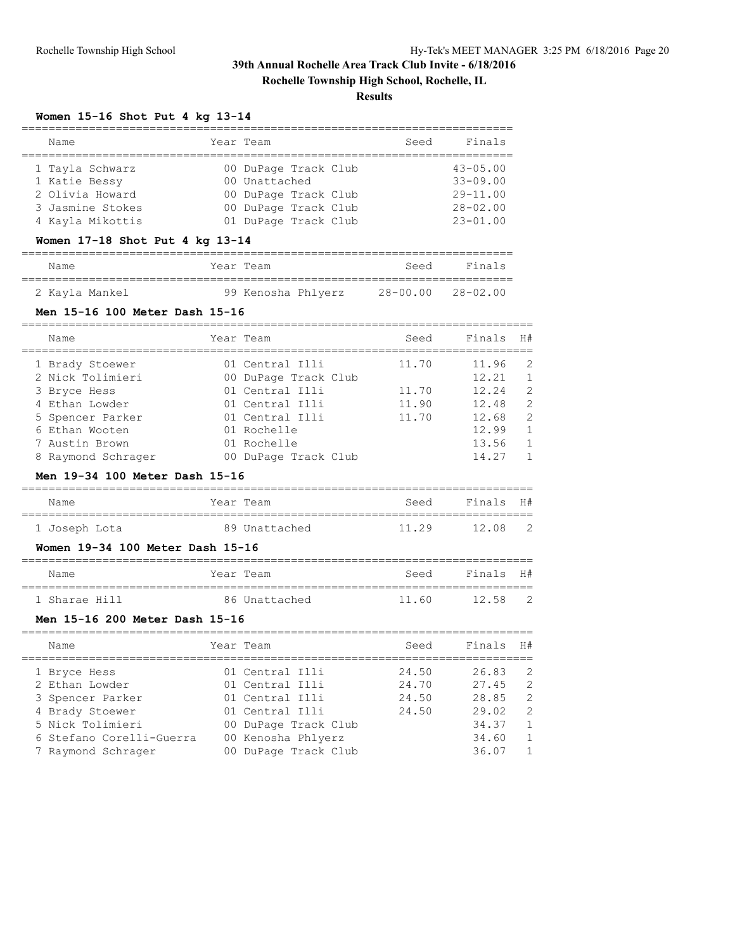**Rochelle Township High School, Rochelle, IL**

### **Results**

#### **Women 15-16 Shot Put 4 kg 13-14**

| Name                                                                                        | Year Team |                                                                                                               | Seed | Finals                                                                       |
|---------------------------------------------------------------------------------------------|-----------|---------------------------------------------------------------------------------------------------------------|------|------------------------------------------------------------------------------|
| 1 Tayla Schwarz<br>1 Katie Bessy<br>2 Olivia Howard<br>3 Jasmine Stokes<br>4 Kayla Mikottis |           | 00 DuPage Track Club<br>00 Unattached<br>00 DuPage Track Club<br>00 DuPage Track Club<br>01 DuPage Track Club |      | $43 - 05.00$<br>$33 - 09.00$<br>$29 - 11.00$<br>$28 - 02.00$<br>$23 - 01.00$ |

#### **Women 17-18 Shot Put 4 kg 13-14**

### ========================================================================= Name Year Team Seed Finals =========================================================================

### 2 Kayla Mankel 99 Kenosha Phlyerz 28-00.00 28-02.00

### **Men 15-16 100 Meter Dash 15-16**

| Finals<br>Year Team<br>Seed<br>Name                   | H# |
|-------------------------------------------------------|----|
| 01 Central Illi<br>11.70<br>11.96<br>1 Brady Stoewer  | 2  |
| 2 Nick Tolimieri<br>12.21<br>00 DuPage Track Club     |    |
| 01 Central Illi<br>12.24<br>11.70<br>3 Bryce Hess     | 2  |
| 4 Ethan Lowder<br>11.90<br>12.48<br>01 Central Illi   | 2  |
| 11.70<br>12.68<br>01 Central Illi<br>5 Spencer Parker | 2  |
| 12.99<br>6 Ethan Wooten<br>01 Rochelle                |    |
| 13.56<br>7 Austin Brown<br>01 Rochelle                |    |
| 14.27<br>00 DuPage Track Club<br>8 Raymond Schrager   |    |

#### **Men 19-34 100 Meter Dash 15-16**

| Name          | Year Team     | Seed  | Finals | H#             |
|---------------|---------------|-------|--------|----------------|
| 1 Joseph Lota | 89 Unattached | 11 29 | 12.08  | $\overline{2}$ |

#### **Women 19-34 100 Meter Dash 15-16**

| Name          | Year Team     | Seed  | Finals H# |                |
|---------------|---------------|-------|-----------|----------------|
| 1 Sharae Hill | 86 Unattached | 11.60 | 12.58     | $\overline{2}$ |

#### **Men 15-16 200 Meter Dash 15-16**

| Name                     | Year Team            | Seed  | Finals | H#            |
|--------------------------|----------------------|-------|--------|---------------|
| 1 Bryce Hess             | 01 Central Illi      | 24.50 | 26.83  | -2            |
| 2 Ethan Lowder           | 01 Central Illi      | 24.70 | 27.45  | - 2           |
| 3 Spencer Parker         | 01 Central Illi      | 24.50 | 28.85  | $\mathcal{L}$ |
| 4 Brady Stoewer          | 01 Central Illi      | 24.50 | 29.02  | $\mathcal{L}$ |
| 5 Nick Tolimieri         | 00 DuPage Track Club |       | 34.37  | $\mathbf{1}$  |
| 6 Stefano Corelli-Guerra | 00 Kenosha Phlyerz   |       | 34.60  | $\mathbf{1}$  |
| 7 Raymond Schrager       | 00 DuPage Track Club |       | 36.07  | $\mathbf{1}$  |
|                          |                      |       |        |               |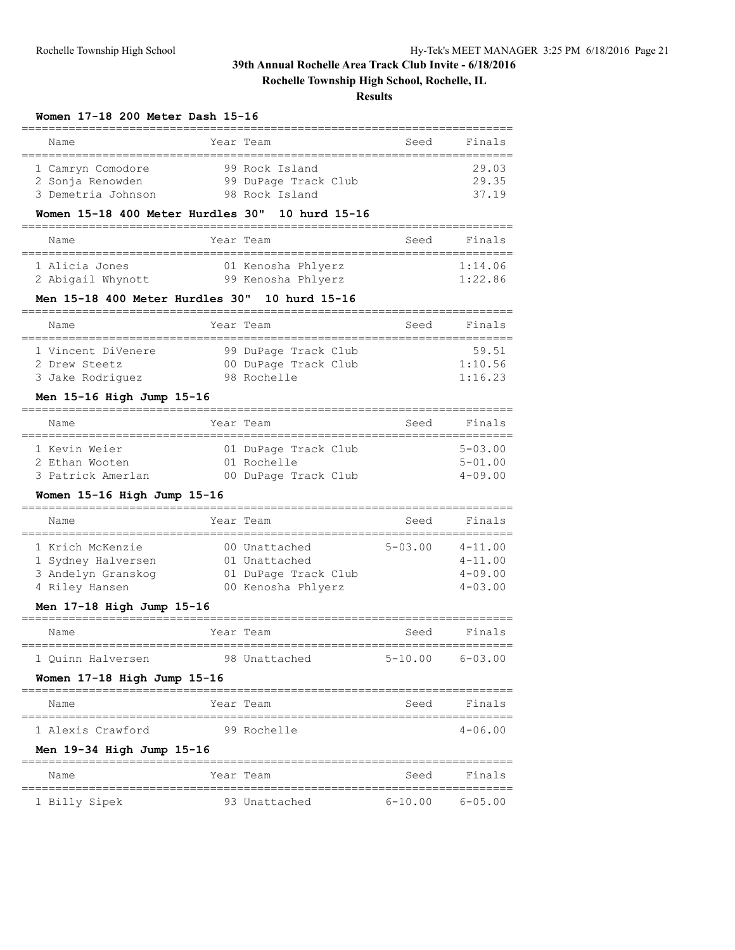### **Rochelle Township High School, Rochelle, IL**

#### **Results**

#### **Women 17-18 200 Meter Dash 15-16**

| Name               | Year Team            | Seed | Finals |
|--------------------|----------------------|------|--------|
| 1 Camryn Comodore  | 99 Rock Island       |      | 29.03  |
| 2 Sonja Renowden   | 99 DuPage Track Club |      | 29.35  |
| 3 Demetria Johnson | 98 Rock Island       |      | 37 19  |

#### **Women 15-18 400 Meter Hurdles 30" 10 hurd 15-16**

| Name              | Year Team          | Seed | Finals  |  |  |  |
|-------------------|--------------------|------|---------|--|--|--|
| 1 Alicia Jones    | 01 Kenosha Phlyerz |      | 1:14.06 |  |  |  |
| 2 Abigail Whynott | 99 Kenosha Phlyerz |      | 1:22.86 |  |  |  |

### **Men 15-18 400 Meter Hurdles 30" 10 hurd 15-16**

| Name               |  | Year Team            | Seed | Finals  |  |  |  |
|--------------------|--|----------------------|------|---------|--|--|--|
| 1 Vincent DiVenere |  | 99 DuPage Track Club |      | 59.51   |  |  |  |
| 2 Drew Steetz      |  | 00 DuPage Track Club |      | 1:10.56 |  |  |  |
| 3 Jake Rodriquez   |  | 98 Rochelle          |      | 1:16.23 |  |  |  |

### **Men 15-16 High Jump 15-16**

| Name                                                 |  | Year Team                                                   | Finals<br>Seed                               |  |  |  |  |
|------------------------------------------------------|--|-------------------------------------------------------------|----------------------------------------------|--|--|--|--|
| 1 Kevin Weier<br>2 Ethan Wooten<br>3 Patrick Amerlan |  | 01 DuPage Track Club<br>01 Rochelle<br>00 DuPage Track Club | $5 - 0.3$ , 00<br>$5 - 01.00$<br>$4 - 09.00$ |  |  |  |  |

### **Women 15-16 High Jump 15-16**

|  | Name               | Year Team |                      | Seed           | Finals         |  |  |
|--|--------------------|-----------|----------------------|----------------|----------------|--|--|
|  |                    |           |                      |                |                |  |  |
|  | 1 Krich McKenzie   |           | 00 Unattached        | $5 - 0.3$ , 00 | $4 - 11.00$    |  |  |
|  | 1 Sydney Halversen |           | 01 Unattached        |                | $4 - 11.00$    |  |  |
|  | 3 Andelyn Granskog |           | 01 DuPage Track Club |                | $4 - 09.00$    |  |  |
|  | 4 Riley Hansen     |           | 00 Kenosha Phlyerz   |                | $4 - 0.3$ , 00 |  |  |

### **Men 17-18 High Jump 15-16**

| Name              | Year Team     | Seed    | Finals  |  |  |  |
|-------------------|---------------|---------|---------|--|--|--|
|                   |               |         |         |  |  |  |
| 1 Ouinn Halversen | 98 Unattached | 5-10 00 | 6-03 00 |  |  |  |

#### **Women 17-18 High Jump 15-16**

| Name              | Year Team |             | Seed | Finals      |
|-------------------|-----------|-------------|------|-------------|
|                   |           |             |      |             |
| 1 Alexis Crawford |           | 99 Rochelle |      | $4 - 06.00$ |

#### **Men 19-34 High Jump 15-16**

| Name          | Year Team     | Seed    | Finals  |
|---------------|---------------|---------|---------|
| 1 Billy Sipek | 93 Unattached | 6-10 00 | 6-05.00 |